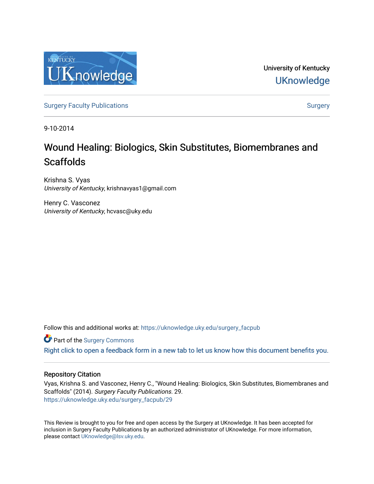

University of Kentucky **UKnowledge** 

[Surgery Faculty Publications](https://uknowledge.uky.edu/surgery_facpub) and the state of the [Surgery](https://uknowledge.uky.edu/surgery) Surgery

9-10-2014

# Wound Healing: Biologics, Skin Substitutes, Biomembranes and **Scaffolds**

Krishna S. Vyas University of Kentucky, krishnavyas1@gmail.com

Henry C. Vasconez University of Kentucky, hcvasc@uky.edu

Follow this and additional works at: [https://uknowledge.uky.edu/surgery\\_facpub](https://uknowledge.uky.edu/surgery_facpub?utm_source=uknowledge.uky.edu%2Fsurgery_facpub%2F29&utm_medium=PDF&utm_campaign=PDFCoverPages) 

Part of the [Surgery Commons](http://network.bepress.com/hgg/discipline/706?utm_source=uknowledge.uky.edu%2Fsurgery_facpub%2F29&utm_medium=PDF&utm_campaign=PDFCoverPages) 

[Right click to open a feedback form in a new tab to let us know how this document benefits you.](https://uky.az1.qualtrics.com/jfe/form/SV_9mq8fx2GnONRfz7)

### Repository Citation

Vyas, Krishna S. and Vasconez, Henry C., "Wound Healing: Biologics, Skin Substitutes, Biomembranes and Scaffolds" (2014). Surgery Faculty Publications. 29. [https://uknowledge.uky.edu/surgery\\_facpub/29](https://uknowledge.uky.edu/surgery_facpub/29?utm_source=uknowledge.uky.edu%2Fsurgery_facpub%2F29&utm_medium=PDF&utm_campaign=PDFCoverPages)

This Review is brought to you for free and open access by the Surgery at UKnowledge. It has been accepted for inclusion in Surgery Faculty Publications by an authorized administrator of UKnowledge. For more information, please contact [UKnowledge@lsv.uky.edu.](mailto:UKnowledge@lsv.uky.edu)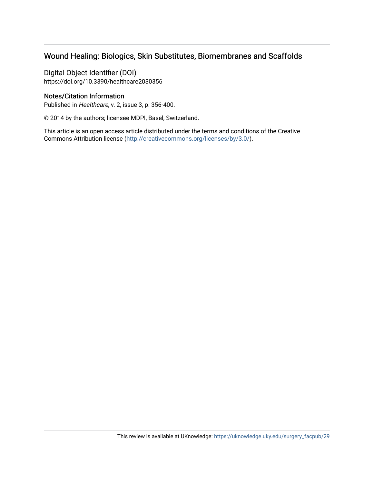# Wound Healing: Biologics, Skin Substitutes, Biomembranes and Scaffolds

Digital Object Identifier (DOI) https://doi.org/10.3390/healthcare2030356

### Notes/Citation Information

Published in Healthcare, v. 2, issue 3, p. 356-400.

© 2014 by the authors; licensee MDPI, Basel, Switzerland.

This article is an open access article distributed under the terms and conditions of the Creative Commons Attribution license [\(http://creativecommons.org/licenses/by/3.0/\)](https://creativecommons.org/licenses/by/3.0/).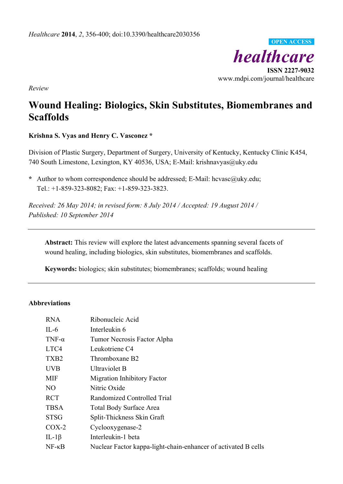

*Review*

# **Wound Healing: Biologics, Skin Substitutes, Biomembranes and Scaffolds**

# **Krishna S. Vyas and Henry C. Vasconez \***

Division of Plastic Surgery, Department of Surgery, University of Kentucky, Kentucky Clinic K454, 740 South Limestone, Lexington, KY 40536, USA; E-Mail: krishnavyas@uky.edu

**\*** Author to whom correspondence should be addressed; E-Mail: hcvasc@uky.edu; Tel.: +1-859-323-8082; Fax: +1-859-323-3823.

*Received: 26 May 2014; in revised form: 8 July 2014 / Accepted: 19 August 2014 / Published: 10 September 2014*

**Abstract:** This review will explore the latest advancements spanning several facets of wound healing, including biologics, skin substitutes, biomembranes and scaffolds.

**Keywords:** biologics; skin substitutes; biomembranes; scaffolds; wound healing

## **Abbreviations**

| <b>RNA</b>       | Ribonucleic Acid                                               |
|------------------|----------------------------------------------------------------|
| $IL-6$           | Interleukin 6                                                  |
| TNF- $\alpha$    | Tumor Necrosis Factor Alpha                                    |
| LTC4             | Leukotriene C4                                                 |
| TXB <sub>2</sub> | Thromboxane B2                                                 |
| <b>UVB</b>       | Ultraviolet B                                                  |
| <b>MIF</b>       | <b>Migration Inhibitory Factor</b>                             |
| N <sub>O</sub>   | Nitric Oxide                                                   |
| <b>RCT</b>       | Randomized Controlled Trial                                    |
| <b>TBSA</b>      | <b>Total Body Surface Area</b>                                 |
| <b>STSG</b>      | Split-Thickness Skin Graft                                     |
| $COX-2$          | Cyclooxygenase-2                                               |
| IL-1 $\beta$     | Interleukin-1 beta                                             |
| $NF - \kappa B$  | Nuclear Factor kappa-light-chain-enhancer of activated B cells |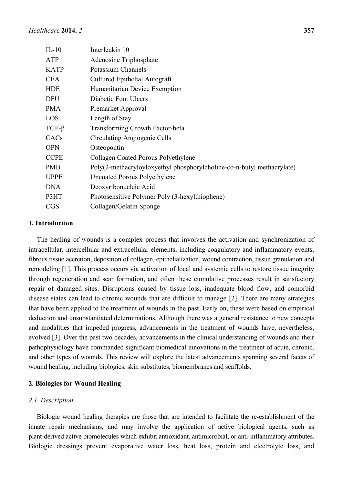| $IL-10$          | Interleukin 10                                                         |
|------------------|------------------------------------------------------------------------|
| ATP              | Adenosine Triphosphate                                                 |
| <b>KATP</b>      | Potassium Channels                                                     |
| <b>CEA</b>       | Cultured Epithelial Autograft                                          |
| <b>HDE</b>       | Humanitarian Device Exemption                                          |
| <b>DFU</b>       | Diabetic Foot Ulcers                                                   |
| <b>PMA</b>       | Premarket Approval                                                     |
| LOS              | Length of Stay                                                         |
| $TGF-\beta$      | Transforming Growth Factor-beta                                        |
| CAC <sub>s</sub> | Circulating Angiogenic Cells                                           |
| <b>OPN</b>       | Osteopontin                                                            |
| <b>CCPE</b>      | Collagen Coated Porous Polyethylene                                    |
| <b>PMB</b>       | Poly(2-methacryloyloxyethyl phosphorylcholine-co-n-butyl methacrylate) |
| <b>UPPE</b>      | Uncoated Porous Polyethylene                                           |
| <b>DNA</b>       | Deoxyribonucleic Acid                                                  |
| P3HT             | Photosensitive Polymer Poly (3-hexylthiophene)                         |
| <b>CGS</b>       | Collagen/Gelatin Sponge                                                |
|                  |                                                                        |

## **1. Introduction**

The healing of wounds is a complex process that involves the activation and synchronization of intracellular, intercellular and extracellular elements, including coagulatory and inflammatory events, fibrous tissue accretion, deposition of collagen, epithelialization, wound contraction, tissue granulation and remodeling [1]. This process occurs via activation of local and systemic cells to restore tissue integrity through regeneration and scar formation, and often these cumulative processes result in satisfactory repair of damaged sites. Disruptions caused by tissue loss, inadequate blood flow, and comorbid disease states can lead to chronic wounds that are difficult to manage [2]. There are many strategies that have been applied to the treatment of wounds in the past. Early on, these were based on empirical deduction and unsubstantiated determinations. Although there was a general resistance to new concepts and modalities that impeded progress, advancements in the treatment of wounds have, nevertheless, evolved [3]. Over the past two decades, advancements in the clinical understanding of wounds and their pathophysiology have commanded significant biomedical innovations in the treatment of acute, chronic, and other types of wounds. This review will explore the latest advancements spanning several facets of wound healing, including biologics, skin substitutes, biomembranes and scaffolds.

## **2. Biologics for Wound Healing**

### *2.1. Description*

Biologic wound healing therapies are those that are intended to facilitate the re-establishment of the innate repair mechanisms, and may involve the application of active biological agents, such as plant-derived active biomolecules which exhibit antioxidant, antimicrobial, or anti-inflammatory attributes. Biologic dressings prevent evaporative water loss, heat loss, protein and electrolyte loss, and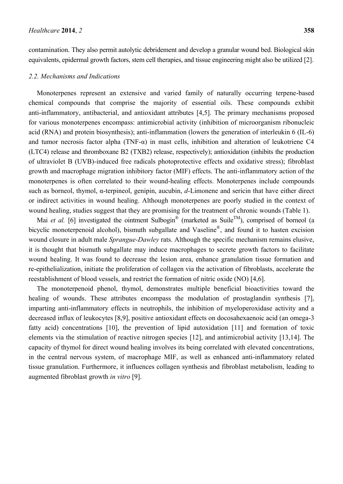contamination. They also permit autolytic debridement and develop a granular wound bed. Biological skin equivalents, epidermal growth factors, stem cell therapies, and tissue engineering might also be utilized [2].

#### *2.2. Mechanisms and Indications*

Monoterpenes represent an extensive and varied family of naturally occurring terpene-based chemical compounds that comprise the majority of essential oils. These compounds exhibit anti-inflammatory, antibacterial, and antioxidant attributes [4,5]. The primary mechanisms proposed for various monoterpenes encompass: antimicrobial activity (inhibition of microorganism ribonucleic acid (RNA) and protein biosynthesis); anti-inflammation (lowers the generation of interleukin 6 (IL-6) and tumor necrosis factor alpha (TNF-α) in mast cells, inhibition and alteration of leukotriene C4 (LTC4) release and thromboxane B2 (TXB2) release, respectively); antioxidation (inhibits the production of ultraviolet B (UVB)-induced free radicals photoprotective effects and oxidative stress); fibroblast growth and macrophage migration inhibitory factor (MIF) effects. The anti-inflammatory action of the monoterpenes is often correlated to their wound-healing effects. Monoterpenes include compounds such as borneol, thymol, α-terpineol, genipin, aucubin, *d*-Limonene and sericin that have either direct or indirect activities in wound healing. Although monoterpenes are poorly studied in the context of wound healing, studies suggest that they are promising for the treatment of chronic wounds (Table 1).

Mai *et al.* [6] investigated the ointment Sulbogin<sup>®</sup> (marketed as Suile<sup>TM</sup>), comprised of borneol (a bicyclic monoterpenoid alcohol), bismuth subgallate and Vaseline®, and found it to hasten excision wound closure in adult male *Sprangue-Dawley* rats. Although the specific mechanism remains elusive, it is thought that bismuth subgallate may induce macrophages to secrete growth factors to facilitate wound healing. It was found to decrease the lesion area, enhance granulation tissue formation and re-epithelialization, initiate the proliferation of collagen via the activation of fibroblasts, accelerate the reestablishment of blood vessels, and restrict the formation of nitric oxide (NO) [4,6].

The monoterpenoid phenol, thymol, demonstrates multiple beneficial bioactivities toward the healing of wounds. These attributes encompass the modulation of prostaglandin synthesis [7], imparting anti-inflammatory effects in neutrophils, the inhibition of myeloperoxidase activity and a decreased influx of leukocytes [8,9], positive antioxidant effects on docosahexaenoic acid (an omega-3 fatty acid) concentrations [10], the prevention of lipid autoxidation [11] and formation of toxic elements via the stimulation of reactive nitrogen species [12], and antimicrobial activity [13,14]. The capacity of thymol for direct wound healing involves its being correlated with elevated concentrations, in the central nervous system, of macrophage MIF, as well as enhanced anti-inflammatory related tissue granulation. Furthermore, it influences collagen synthesis and fibroblast metabolism, leading to augmented fibroblast growth *in vitro* [9].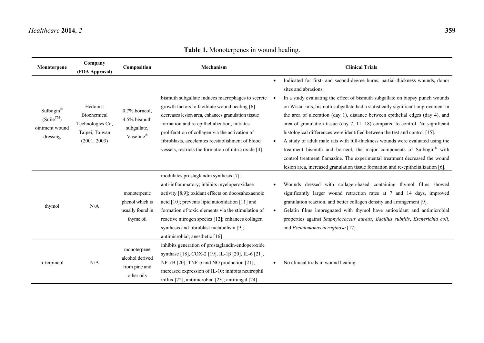# *Healthcare* **2014**, *2* **359**

| Monoterpene                                               | Company<br>(FDA Approval)                                                     | Composition                                                      | Mechanism                                                                                                                                                                                                                                                                                                                                                                                    |           | <b>Clinical Trials</b>                                                                                                                                                                                                                                                                                                                                                                                                                                                                                                                                                                                                                                                                                                                                                                                                                                           |
|-----------------------------------------------------------|-------------------------------------------------------------------------------|------------------------------------------------------------------|----------------------------------------------------------------------------------------------------------------------------------------------------------------------------------------------------------------------------------------------------------------------------------------------------------------------------------------------------------------------------------------------|-----------|------------------------------------------------------------------------------------------------------------------------------------------------------------------------------------------------------------------------------------------------------------------------------------------------------------------------------------------------------------------------------------------------------------------------------------------------------------------------------------------------------------------------------------------------------------------------------------------------------------------------------------------------------------------------------------------------------------------------------------------------------------------------------------------------------------------------------------------------------------------|
| Sulbogin®<br>$(Suile^{TM})$<br>ointment wound<br>dressing | Hedonist<br>Biochemical<br>Technologies Co,<br>Taipei, Taiwan<br>(2001, 2003) | 0.7% borneol,<br>4.5% bismuth<br>subgallate,<br>Vaseline®        | bismuth subgallate induces macrophages to secrete<br>growth factors to facilitate wound healing [6]<br>decreases lesion area, enhances granulation tissue<br>formation and re-epithelialization, initiates<br>proliferation of collagen via the activation of<br>fibroblasts, accelerates reestablishment of blood<br>vessels, restricts the formation of nitric oxide [4]                   | $\bullet$ | Indicated for first- and second-degree burns, partial-thickness wounds, donor<br>sites and abrasions.<br>In a study evaluating the effect of bismuth subgallate on biopsy punch wounds<br>on Wistar rats, bismuth subgallate had a statistically significant improvement in<br>the area of ulceration (day 1), distance between epithelial edges (day 4), and<br>area of granulation tissue (day $7, 11, 18$ ) compared to control. No significant<br>histological differences were identified between the test and control [15].<br>A study of adult male rats with full-thickness wounds were evaluated using the<br>treatment bismuth and borneol, the major components of Sulbogin® with<br>control treatment flamazine. The experimental treatment decreased the wound<br>lesion area, increased granulation tissue formation and re-epithelialization [6]. |
| thymol                                                    | N/A                                                                           | monoterpenic<br>phenol which is<br>usually found in<br>thyme oil | modulates prostaglandin synthesis [7];<br>anti-inflammatory; inhibits myeloperoxidase<br>activity [8,9]; oxidant effects on docosahexaenoic<br>acid $[10]$ ; prevents lipid autoxidation $[11]$ and<br>formation of toxic elements via the stimulation of<br>reactive nitrogen species [12]; enhances collagen<br>synthesis and fibroblast metabolism [9];<br>antimicrobial; anesthetic [16] | $\bullet$ | Wounds dressed with collagen-based containing thymol films showed<br>significantly larger wound retraction rates at 7 and 14 days, improved<br>granulation reaction, and better collagen density and arrangement [9].<br>Gelatin films impregnated with thymol have antioxidant and antimicrobial<br>properties against Staphylococcus aureus, Bacillus subtilis, Escherichia coli,<br>and Pseudomonas aeruginosa [17].                                                                                                                                                                                                                                                                                                                                                                                                                                          |
| $\alpha$ -terpineol                                       | N/A                                                                           | monoterpene<br>alcohol derived<br>from pine and<br>other oils    | inhibits generation of prostaglandin-endoperoxide<br>synthase [18], COX-2 [19], IL-1β [20], IL-6 [21],<br>NF- $\kappa$ B [20], TNF- $\alpha$ and NO production [21];<br>increased expression of IL-10; inhibits neutrophil<br>influx [22]; antimicrobial [23]; antifungal [24]                                                                                                               |           | No clinical trials in wound healing.                                                                                                                                                                                                                                                                                                                                                                                                                                                                                                                                                                                                                                                                                                                                                                                                                             |

**Table 1.** Monoterpenes in wound healing.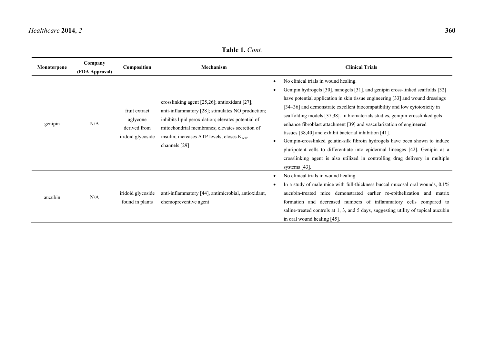saline-treated controls at 1, 3, and 5 days, suggesting utility of topical aucubin

in oral wound healing [45].

| Monoterpene | Company<br>(FDA Approval) | Composition                                                    | Mechanism                                                                                                                                                                                                                                                                            | <b>Clinical Trials</b>                                                                                                                                                                                                                                                                                                                                                                                                                                                                                                                                                                                                                                                                                                                                                         |
|-------------|---------------------------|----------------------------------------------------------------|--------------------------------------------------------------------------------------------------------------------------------------------------------------------------------------------------------------------------------------------------------------------------------------|--------------------------------------------------------------------------------------------------------------------------------------------------------------------------------------------------------------------------------------------------------------------------------------------------------------------------------------------------------------------------------------------------------------------------------------------------------------------------------------------------------------------------------------------------------------------------------------------------------------------------------------------------------------------------------------------------------------------------------------------------------------------------------|
| genipin     | N/A                       | fruit extract<br>aglycone<br>derived from<br>iridoid glycoside | crosslinking agent $[25,26]$ ; antioxidant $[27]$ ;<br>anti-inflammatory [28]; stimulates NO production;<br>inhibits lipid peroxidation; elevates potential of<br>mitochondrial membranes; elevates secretion of<br>insulin; increases ATP levels; closes $K_{ATP}$<br>channels [29] | No clinical trials in wound healing.<br>Genipin hydrogels [30], nanogels [31], and genipin cross-linked scaffolds [32]<br>have potential application in skin tissue engineering [33] and wound dressings<br>[34–36] and demonstrate excellent biocompatibility and low cytotoxicity in<br>scaffolding models [37,38]. In biomaterials studies, genipin-crosslinked gels<br>enhance fibroblast attachment [39] and vascularization of engineered<br>tissues [38,40] and exhibit bacterial inhibition [41].<br>Genipin-crosslinked gelatin-silk fibroin hydrogels have been shown to induce<br>pluripotent cells to differentiate into epidermal lineages [42]. Genipin as a<br>crosslinking agent is also utilized in controlling drug delivery in multiple<br>systems $[43]$ . |
| aucubin     | N/A                       | iridoid glycoside<br>found in plants                           | anti-inflammatory [44], antimicrobial, antioxidant,<br>chemopreventive agent                                                                                                                                                                                                         | No clinical trials in wound healing.<br>In a study of male mice with full-thickness buccal mucosal oral wounds, 0.1%<br>aucubin-treated mice demonstrated earlier re-epithelization and matrix<br>formation and decreased numbers of inflammatory cells compared to                                                                                                                                                                                                                                                                                                                                                                                                                                                                                                            |

**Table 1.** *Cont.*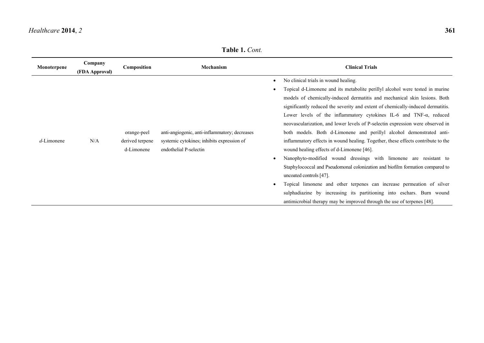**Table 1.** *Cont.*

| Monoterpene   | Company<br>(FDA Approval) | Composition                                  | Mechanism                                                                                                             | <b>Clinical Trials</b>                                                                                                                                                                                                                                                                                                                                                                                                                                                                                                                                                                                                                                                                                                                                                                                                                                                                                                                                                                                                                                                       |
|---------------|---------------------------|----------------------------------------------|-----------------------------------------------------------------------------------------------------------------------|------------------------------------------------------------------------------------------------------------------------------------------------------------------------------------------------------------------------------------------------------------------------------------------------------------------------------------------------------------------------------------------------------------------------------------------------------------------------------------------------------------------------------------------------------------------------------------------------------------------------------------------------------------------------------------------------------------------------------------------------------------------------------------------------------------------------------------------------------------------------------------------------------------------------------------------------------------------------------------------------------------------------------------------------------------------------------|
| $d$ -Limonene | N/A                       | orange-peel<br>derived terpene<br>d-Limonene | anti-angiogenic, anti-inflammatory; decreases<br>systemic cytokines; inhibits expression of<br>endothelial P-selectin | No clinical trials in wound healing.<br>Topical d-Limonene and its metabolite perillyl alcohol were tested in murine<br>models of chemically-induced dermatitis and mechanical skin lesions. Both<br>significantly reduced the severity and extent of chemically-induced dermatitis.<br>Lower levels of the inflammatory cytokines IL-6 and TNF- $\alpha$ , reduced<br>neovascularization, and lower levels of P-selectin expression were observed in<br>both models. Both d-Limonene and perillyl alcohol demonstrated anti-<br>inflammatory effects in wound healing. Together, these effects contribute to the<br>wound healing effects of d-Limonene [46].<br>Nanophyto-modified wound dressings with limonene are resistant to<br>Staphylococcal and Pseudomonal colonization and biofilm formation compared to<br>uncoated controls [47].<br>Topical limonene and other terpenes can increase permeation of silver<br>sulphadiazine by increasing its partitioning into eschars. Burn wound<br>antimicrobial therapy may be improved through the use of terpenes [48]. |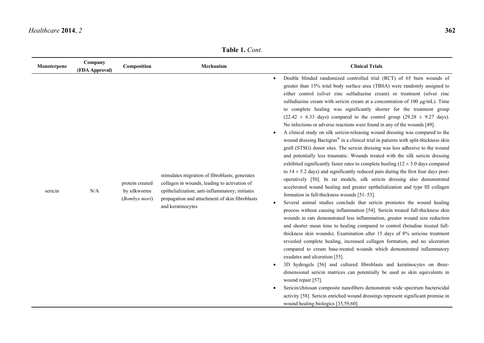**Table 1.** *Cont.*

| Monoterpene | Company<br>(FDA Approval) | Composition                                      | Mechanism                                                                                                                                                                                                                | <b>Clinical Trials</b>                                                                                                                                                                                                                                                                                                                                                                                                                                                                                                                                                                                                                                                                                                                                                                                                                                                                                                                                                                                                                                                                                                                                                                                                                                                                                                                                                                                                                                                                                                                                                                                                                                                                                                                                                                                                                                                                                                                                                                                                                                                                                                                                                                                                                                                                                               |
|-------------|---------------------------|--------------------------------------------------|--------------------------------------------------------------------------------------------------------------------------------------------------------------------------------------------------------------------------|----------------------------------------------------------------------------------------------------------------------------------------------------------------------------------------------------------------------------------------------------------------------------------------------------------------------------------------------------------------------------------------------------------------------------------------------------------------------------------------------------------------------------------------------------------------------------------------------------------------------------------------------------------------------------------------------------------------------------------------------------------------------------------------------------------------------------------------------------------------------------------------------------------------------------------------------------------------------------------------------------------------------------------------------------------------------------------------------------------------------------------------------------------------------------------------------------------------------------------------------------------------------------------------------------------------------------------------------------------------------------------------------------------------------------------------------------------------------------------------------------------------------------------------------------------------------------------------------------------------------------------------------------------------------------------------------------------------------------------------------------------------------------------------------------------------------------------------------------------------------------------------------------------------------------------------------------------------------------------------------------------------------------------------------------------------------------------------------------------------------------------------------------------------------------------------------------------------------------------------------------------------------------------------------------------------------|
| sericin     | N/A                       | protein created<br>by silkworms<br>(Bombyx mori) | stimulates migration of fibroblasts; generates<br>collagen in wounds, leading to activation of<br>epithelialization; anti-inflammatory; initiates<br>propagation and attachment of skin fibroblasts<br>and keratinocytes | Double blinded randomized controlled trial (RCT) of 65 burn wounds of<br>$\bullet$<br>greater than 15% total body surface area (TBSA) were randomly assigned to<br>either control (silver zinc sulfadiazine cream) or treatment (silver zinc<br>sulfadiazine cream with sericin cream at a concentration of 100 µg/mL). Time<br>to complete healing was significantly shorter for the treatment group<br>$(22.42 \pm 6.33$ days) compared to the control group $(29.28 \pm 9.27$ days).<br>No infections or adverse reactions were found in any of the wounds [49].<br>A clinical study on silk sericin-releasing wound dressing was compared to the<br>wound dressing Bactigras® in a clinical trial in patients with split-thickness skin<br>graft (STSG) donor sites. The sericin dressing was less adhesive to the wound<br>and potentially less traumatic. Wounds treated with the silk sericin dressing<br>exhibited significantly faster rates to complete healing $(12 \pm 5.0)$ days compared<br>to $14 \pm 5.2$ days) and significantly reduced pain during the first four days post-<br>operatively [50]. In rat models, silk sericin dressing also demonstrated<br>accelerated wound healing and greater epithelialization and type III collagen<br>formation in full-thickness wounds [51-53].<br>Several animal studies conclude that sericin promotes the wound healing<br>$\bullet$<br>process without causing inflammation [54]. Sericin treated full-thickness skin<br>wounds in rats demonstrated less inflammation, greater wound size reduction<br>and shorter mean time to healing compared to control (betadine treated full-<br>thickness skin wounds). Examination after 15 days of 8% sericine treatment<br>revealed complete healing, increased collagen formation, and no ulceration<br>compared to cream base-treated wounds which demonstrated inflammatory<br>exudates and ulceration [55].<br>3D hydrogels [56] and cultured fibroblasts and keratinocytes on three-<br>dimensional sericin matrices can potentially be used as skin equivalents in<br>wound repair [57].<br>Sericin/chitosan composite nanofibers demonstrate wide spectrum bactericidal<br>activity [58]. Sericin enriched wound dressings represent significant promise in<br>wound healing biologics [35,59,60]. |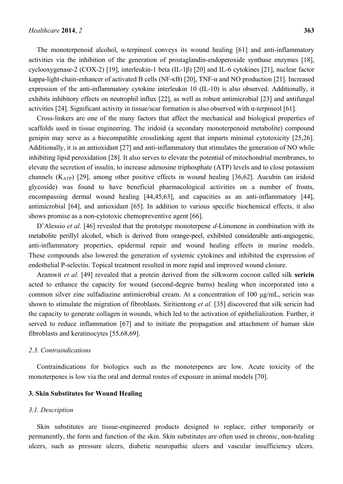The monoterpenoid alcohol,  $\alpha$ -terpineol conveys its wound healing [61] and anti-inflammatory activities via the inhibition of the generation of prostaglandin-endoperoxide synthase enzymes [18], cyclooxygenase-2 (COX-2) [19], interleukin-1 beta (IL-1β) [20] and IL-6 cytokines [21], nuclear factor kappa-light-chain-enhancer of activated B cells (NF-κB) [20], TNF-α and NO production [21]. Increased expression of the anti-inflammatory cytokine interleukin 10 (IL-10) is also observed. Additionally, it exhibits inhibitory effects on neutrophil influx [22], as well as robust antimicrobial [23] and antifungal activities [24]. Significant activity in tissue/scar formation is also observed with α-terpineol [61].

Cross-linkers are one of the many factors that affect the mechanical and biological properties of scaffolds used in tissue engineering. The iridoid (a secondary monoterpenoid metabolite) compound genipin may serve as a biocompatible crosslinking agent that imparts minimal cytotoxicity [25,26]. Additionally, it is an antioxidant [27] and anti-inflammatory that stimulates the generation of NO while inhibiting lipid peroxidation [28]. It also serves to elevate the potential of mitochondrial membranes, to elevate the secretion of insulin, to increase adenosine triphosphate (ATP) levels and to close potassium channels  $(K_{ATP})$  [29], among other positive effects in wound healing [36,62]. Aucubin (an iridoid glycoside) was found to have beneficial pharmacological activities on a number of fronts, encompassing dermal wound healing [44,45,63], and capacities as an anti-inflammatory [44], antimicrobial [64], and antioxidant [65]. In addition to various specific biochemical effects, it also shows promise as a non-cytotoxic chemopreventive agent [66].

D'Alessio *et al.* [46] revealed that the prototype monoterpene *d*-Limonene in combination with its metabolite perillyl alcohol, which is derived from orange-peel, exhibited considerable anti-angiogenic, anti-inflammatory properties, epidermal repair and wound healing effects in murine models. These compounds also lowered the generation of systemic cytokines and inhibited the expression of endothelial P-selectin. Topical treatment resulted in more rapid and improved wound closure.

Aramwit *et al.* [49] revealed that a protein derived from the silkworm cocoon called silk **sericin** acted to enhance the capacity for wound (second-degree burns) healing when incorporated into a common silver zinc sulfadiazine antimicrobial cream. At a concentration of 100 μg/mL, sericin was shown to stimulate the migration of fibroblasts. Siritientong *et al.* [35] discovered that silk sericin had the capacity to generate collagen in wounds, which led to the activation of epithelialization. Further, it served to reduce inflammation [67] and to initiate the propagation and attachment of human skin fibroblasts and keratinocytes [55,68,69].

#### *2.3. Contraindications*

Contraindications for biologics such as the monoterpenes are low. Acute toxicity of the monoterpenes is low via the oral and dermal routes of exposure in animal models [70].

#### **3. Skin Substitutes for Wound Healing**

#### *3.1. Description*

Skin substitutes are tissue-engineered products designed to replace, either temporarily or permanently, the form and function of the skin. Skin substitutes are often used in chronic, non-healing ulcers, such as pressure ulcers, diabetic neuropathic ulcers and vascular insufficiency ulcers.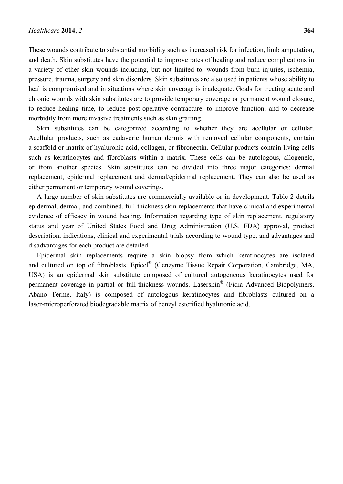These wounds contribute to substantial morbidity such as increased risk for infection, limb amputation, and death. Skin substitutes have the potential to improve rates of healing and reduce complications in a variety of other skin wounds including, but not limited to, wounds from burn injuries, ischemia, pressure, trauma, surgery and skin disorders. Skin substitutes are also used in patients whose ability to heal is compromised and in situations where skin coverage is inadequate. Goals for treating acute and chronic wounds with skin substitutes are to provide temporary coverage or permanent wound closure, to reduce healing time, to reduce post-operative contracture, to improve function, and to decrease morbidity from more invasive treatments such as skin grafting.

Skin substitutes can be categorized according to whether they are acellular or cellular. Acellular products, such as cadaveric human dermis with removed cellular components, contain a scaffold or matrix of hyaluronic acid, collagen, or fibronectin. Cellular products contain living cells such as keratinocytes and fibroblasts within a matrix. These cells can be autologous, allogeneic, or from another species. Skin substitutes can be divided into three major categories: dermal replacement, epidermal replacement and dermal/epidermal replacement. They can also be used as either permanent or temporary wound coverings.

A large number of skin substitutes are commercially available or in development. Table 2 details epidermal, dermal, and combined, full-thickness skin replacements that have clinical and experimental evidence of efficacy in wound healing. Information regarding type of skin replacement, regulatory status and year of United States Food and Drug Administration (U.S. FDA) approval, product description, indications, clinical and experimental trials according to wound type, and advantages and disadvantages for each product are detailed.

Epidermal skin replacements require a skin biopsy from which keratinocytes are isolated and cultured on top of fibroblasts. Epicel® (Genzyme Tissue Repair Corporation, Cambridge, MA, USA) is an epidermal skin substitute composed of cultured autogeneous keratinocytes used for permanent coverage in partial or full-thickness wounds. Laserskin**®** (Fidia Advanced Biopolymers, Abano Terme, Italy) is composed of autologous keratinocytes and fibroblasts cultured on a laser-microperforated biodegradable matrix of benzyl esterified hyaluronic acid.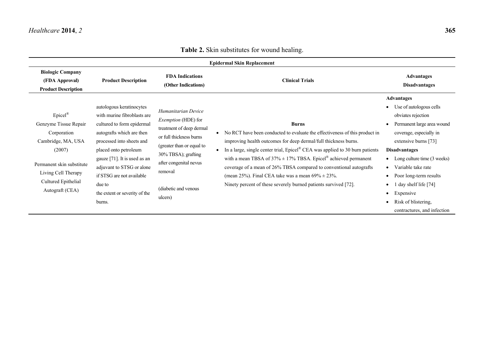|                                                                                                                                                                                  |                                                                                                                                                                                                                                                                                                                         |                                                                                                                                                                                                                                      | <b>Epidermal Skin Replacement</b>                                                                                                                                                                                                                                                                                                                                                                                                                                                                                                      |                                                                                                                                                                                                                                                                                                                                                                                  |
|----------------------------------------------------------------------------------------------------------------------------------------------------------------------------------|-------------------------------------------------------------------------------------------------------------------------------------------------------------------------------------------------------------------------------------------------------------------------------------------------------------------------|--------------------------------------------------------------------------------------------------------------------------------------------------------------------------------------------------------------------------------------|----------------------------------------------------------------------------------------------------------------------------------------------------------------------------------------------------------------------------------------------------------------------------------------------------------------------------------------------------------------------------------------------------------------------------------------------------------------------------------------------------------------------------------------|----------------------------------------------------------------------------------------------------------------------------------------------------------------------------------------------------------------------------------------------------------------------------------------------------------------------------------------------------------------------------------|
| <b>Biologic Company</b><br>(FDA Approval)<br><b>Product Description</b>                                                                                                          | <b>Product Description</b>                                                                                                                                                                                                                                                                                              | <b>FDA</b> Indications<br>(Other Indications)                                                                                                                                                                                        | <b>Clinical Trials</b>                                                                                                                                                                                                                                                                                                                                                                                                                                                                                                                 | <b>Advantages</b><br><b>Disadvantages</b>                                                                                                                                                                                                                                                                                                                                        |
| $Epicel^®$<br>Genzyme Tissue Repair<br>Corporation<br>Cambridge, MA, USA<br>(2007)<br>Permanent skin substitute<br>Living Cell Therapy<br>Cultured Epithelial<br>Autograft (CEA) | autologous keratinocytes<br>with murine fibroblasts are<br>cultured to form epidermal<br>autografts which are then<br>processed into sheets and<br>placed onto petroleum<br>gauze [71]. It is used as an<br>adjuvant to STSG or alone<br>if STSG are not available<br>due to<br>the extent or severity of the<br>burns. | Humanitarian Device<br><i>Exemption</i> (HDE) for<br>treatment of deep dermal<br>or full thickness burns<br>(greater than or equal to<br>30% TBSA); grafting<br>after congenital nevus<br>removal<br>(diabetic and venous<br>ulcers) | <b>Burns</b><br>No RCT have been conducted to evaluate the effectiveness of this product in<br>improving health outcomes for deep dermal/full thickness burns.<br>In a large, single center trial, Epicel® CEA was applied to 30 burn patients<br>with a mean TBSA of $37\% \pm 17\%$ TBSA. Epicel <sup>®</sup> achieved permanent<br>coverage of a mean of 26% TBSA compared to conventional autografts<br>(mean 25%). Final CEA take was a mean $69\% \pm 23\%$ .<br>Ninety percent of these severely burned patients survived [72]. | <b>Advantages</b><br>• Use of autologous cells<br>obviates rejection<br>Permanent large area wound<br>coverage, especially in<br>extensive burns [73]<br><b>Disadvantages</b><br>Long culture time (3 weeks)<br>Variable take rate<br>$\bullet$<br>Poor long-term results<br>day shelf life [74]<br>Expensive<br>$\bullet$<br>Risk of blistering,<br>contractures, and infection |

# **Table 2.** Skin substitutes for wound healing.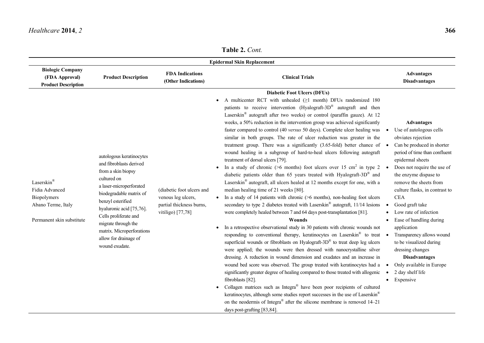# **Table 2.** *Cont.*

|                                                                                                |                                                                                                                                                                                                                                                                                                                         |                                                                                                  | <b>Epidermal Skin Replacement</b>                                                                                                                                                                                                                                                                                                                                                                                                                                                                                                                                                                                                                                                                                                                                                                                                                                                                                                                                                                                                                                                                                                                                                                                                                                                                                                                                                                                                                                                                                                                                                                                                                                                                                                                                                                                                                                                                                                                                                                                                                                                                                                                                                                            |                                                                                                                                                                                                                                                                                                                                                                                                                                                                                                                                                |
|------------------------------------------------------------------------------------------------|-------------------------------------------------------------------------------------------------------------------------------------------------------------------------------------------------------------------------------------------------------------------------------------------------------------------------|--------------------------------------------------------------------------------------------------|--------------------------------------------------------------------------------------------------------------------------------------------------------------------------------------------------------------------------------------------------------------------------------------------------------------------------------------------------------------------------------------------------------------------------------------------------------------------------------------------------------------------------------------------------------------------------------------------------------------------------------------------------------------------------------------------------------------------------------------------------------------------------------------------------------------------------------------------------------------------------------------------------------------------------------------------------------------------------------------------------------------------------------------------------------------------------------------------------------------------------------------------------------------------------------------------------------------------------------------------------------------------------------------------------------------------------------------------------------------------------------------------------------------------------------------------------------------------------------------------------------------------------------------------------------------------------------------------------------------------------------------------------------------------------------------------------------------------------------------------------------------------------------------------------------------------------------------------------------------------------------------------------------------------------------------------------------------------------------------------------------------------------------------------------------------------------------------------------------------------------------------------------------------------------------------------------------------|------------------------------------------------------------------------------------------------------------------------------------------------------------------------------------------------------------------------------------------------------------------------------------------------------------------------------------------------------------------------------------------------------------------------------------------------------------------------------------------------------------------------------------------------|
| <b>Biologic Company</b><br>(FDA Approval)<br><b>Product Description</b>                        | <b>Product Description</b>                                                                                                                                                                                                                                                                                              | <b>FDA Indications</b><br>(Other Indications)                                                    | <b>Clinical Trials</b>                                                                                                                                                                                                                                                                                                                                                                                                                                                                                                                                                                                                                                                                                                                                                                                                                                                                                                                                                                                                                                                                                                                                                                                                                                                                                                                                                                                                                                                                                                                                                                                                                                                                                                                                                                                                                                                                                                                                                                                                                                                                                                                                                                                       | <b>Advantages</b><br><b>Disadvantages</b>                                                                                                                                                                                                                                                                                                                                                                                                                                                                                                      |
| Laserskin®<br>Fidia Advanced<br>Biopolymers<br>Abano Terme, Italy<br>Permanent skin substitute | autologous keratinocytes<br>and fibroblasts derived<br>from a skin biopsy<br>cultured on<br>a laser-microperforated<br>biodegradable matrix of<br>benzyl esterified<br>hyaluronic acid [75,76].<br>Cells proliferate and<br>migrate through the<br>matrix. Microperforations<br>allow for drainage of<br>wound exudate. | (diabetic foot ulcers and<br>venous leg ulcers,<br>partial thickness burns,<br>vitiligo) [77,78] | <b>Diabetic Foot Ulcers (DFUs)</b><br>A multicenter RCT with unhealed $(\geq 1$ month) DFUs randomized 180<br>patients to receive intervention (Hyalograft-3D <sup>®</sup> autograft and then<br>Laserskin® autograft after two weeks) or control (paraffin gauze). At 12<br>weeks, a 50% reduction in the intervention group was achieved significantly<br>faster compared to control (40 versus 50 days). Complete ulcer healing was<br>similar in both groups. The rate of ulcer reduction was greater in the<br>treatment group. There was a significantly $(3.65 \text{-} fold)$ better chance of $\bullet$<br>wound healing in a subgroup of hard-to-heal ulcers following autograft<br>treatment of dorsal ulcers [79].<br>In a study of chronic (>6 months) foot ulcers over 15 cm <sup>2</sup> in type 2 $\bullet$<br>diabetic patients older than 65 years treated with Hyalograft-3D <sup>®</sup> and<br>Laserskin <sup>®</sup> autograft, all ulcers healed at 12 months except for one, with a<br>median healing time of 21 weeks [80].<br>In a study of 14 patients with chronic $($ >6 months), non-healing foot ulcers<br>secondary to type 2 diabetes treated with Laserskin® autograft, 11/14 lesions<br>were completely healed between 7 and 64 days post-transplantation [81].<br>Wounds<br>In a retrospective observational study in 30 patients with chronic wounds not<br>responding to conventional therapy, keratinocytes on Laserskin® to treat .<br>superficial wounds or fibroblasts on Hyalograft-3D $^{\circledR}$ to treat deep leg ulcers<br>were applied; the wounds were then dressed with nanocrystalline silver<br>dressing. A reduction in wound dimension and exudates and an increase in<br>wound bed score was observed. The group treated with keratinocytes had a<br>significantly greater degree of healing compared to those treated with allogenic<br>fibroblasts [82].<br>Collagen matrices such as Integra® have been poor recipients of cultured<br>keratinocytes, although some studies report successes in the use of Laserskin®<br>on the neodermis of Integra <sup>®</sup> after the silicone membrane is removed $14-21$<br>days post-grafting [83,84]. | <b>Advantages</b><br>Use of autologous cells<br>obviates rejection<br>Can be produced in shorter<br>period of time than confluent<br>epidermal sheets<br>Does not require the use of<br>the enzyme dispase to<br>remove the sheets from<br>culture flasks, in contrast to<br><b>CEA</b><br>Good graft take<br>Low rate of infection<br>Ease of handling during<br>application<br>Transparency allows wound<br>to be visualized during<br>dressing changes<br><b>Disadvantages</b><br>Only available in Europe<br>2 day shelf life<br>Expensive |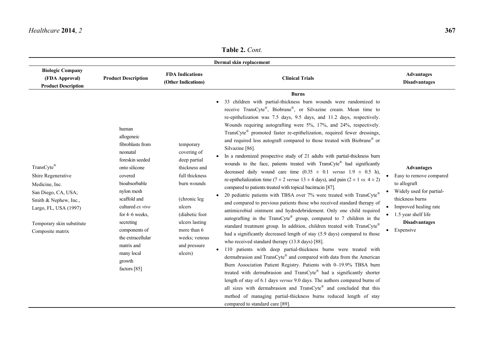**Table 2.** *Cont.*

|                                                                                                                                                                              |                                                                                                                                                                                                                                                                                                  |                                                                                                                                                                                                                      | Dermal skin replacement                                                                                                                                                                                                                                                                                                                                                                                                                                                                                                                                                                                                                                                                                                                                                                                                                                                                                                                                                                                                                                                                                                                                                                                                                                                                                                                                                                                                                                                                                                                                                                                                                                                                                                                                                                                                                                                                                                                               |                                                                                                                                                                                                  |
|------------------------------------------------------------------------------------------------------------------------------------------------------------------------------|--------------------------------------------------------------------------------------------------------------------------------------------------------------------------------------------------------------------------------------------------------------------------------------------------|----------------------------------------------------------------------------------------------------------------------------------------------------------------------------------------------------------------------|-------------------------------------------------------------------------------------------------------------------------------------------------------------------------------------------------------------------------------------------------------------------------------------------------------------------------------------------------------------------------------------------------------------------------------------------------------------------------------------------------------------------------------------------------------------------------------------------------------------------------------------------------------------------------------------------------------------------------------------------------------------------------------------------------------------------------------------------------------------------------------------------------------------------------------------------------------------------------------------------------------------------------------------------------------------------------------------------------------------------------------------------------------------------------------------------------------------------------------------------------------------------------------------------------------------------------------------------------------------------------------------------------------------------------------------------------------------------------------------------------------------------------------------------------------------------------------------------------------------------------------------------------------------------------------------------------------------------------------------------------------------------------------------------------------------------------------------------------------------------------------------------------------------------------------------------------------|--------------------------------------------------------------------------------------------------------------------------------------------------------------------------------------------------|
| <b>Biologic Company</b><br>(FDA Approval)<br><b>Product Description</b>                                                                                                      | <b>Product Description</b>                                                                                                                                                                                                                                                                       | <b>FDA</b> Indications<br>(Other Indications)                                                                                                                                                                        | <b>Clinical Trials</b>                                                                                                                                                                                                                                                                                                                                                                                                                                                                                                                                                                                                                                                                                                                                                                                                                                                                                                                                                                                                                                                                                                                                                                                                                                                                                                                                                                                                                                                                                                                                                                                                                                                                                                                                                                                                                                                                                                                                | <b>Advantages</b><br><b>Disadvantages</b>                                                                                                                                                        |
| TransCyte®<br>Shire Regenerative<br>Medicine, Inc.<br>San Diego, CA, USA;<br>Smith & Nephew, Inc.,<br>Largo, FL, USA (1997)<br>Temporary skin substitute<br>Composite matrix | human<br>allogeneic<br>fibroblasts from<br>neonatal<br>foreskin seeded<br>onto silicone<br>covered<br>bioabsorbable<br>nylon mesh<br>scaffold and<br>cultured ex vivo<br>for 4–6 weeks,<br>secreting<br>components of<br>the extracellular<br>matrix and<br>many local<br>growth<br>factors [85] | temporary<br>covering of<br>deep partial<br>thickness and<br>full thickness<br>burn wounds<br>(chronic leg<br>ulcers<br>(diabetic foot)<br>ulcers lasting<br>more than 6<br>weeks; venous<br>and pressure<br>ulcers) | <b>Burns</b><br>33 children with partial-thickness burn wounds were randomized to<br>receive TransCyte®, Biobrane®, or Silvazine cream. Mean time to<br>re-epithelization was 7.5 days, 9.5 days, and 11.2 days, respectively.<br>Wounds requiring autografting were 5%, 17%, and 24%, respectively.<br>TransCyte® promoted faster re-epithelization, required fewer dressings,<br>and required less autograft compared to those treated with Biobrane® or<br>Silvazine [86].<br>In a randomized prospective study of 21 adults with partial-thickness burn<br>wounds to the face, patients treated with TransCyte® had significantly<br>decreased daily wound care time $(0.35 \pm 0.1$ versus $1.9 \pm 0.5$ h),<br>re-epithelialization time (7 ± 2 versus 13 ± 4 days), and pain (2 ± 1 vs. 4 ± 2)<br>compared to patients treated with topical bacitracin [87].<br>20 pediatric patients with TBSA over 7% were treated with $TransCyte^{\mathcal{R}}$<br>and compared to previous patients those who received standard therapy of<br>antimicrobial ointment and hydrodebridement. Only one child required<br>autografting in the TransCyte® group, compared to 7 children in the<br>standard treatment group. In addition, children treated with TransCyte®<br>had a significantly decreased length of stay (5.9 days) compared to those<br>who received standard therapy (13.8 days) [88].<br>110 patients with deep partial-thickness burns were treated with<br>dermabrasion and TransCyte® and compared with data from the American<br>Burn Association Patient Registry. Patients with 0-19.9% TBSA burn<br>treated with dermabrasion and TransCyte® had a significantly shorter<br>length of stay of 6.1 days versus 9.0 days. The authors compared burns of<br>all sizes with dermabrasion and TransCyte® and concluded that this<br>method of managing partial-thickness burns reduced length of stay<br>compared to standard care [89]. | <b>Advantages</b><br>Easy to remove compared<br>to allograft<br>Widely used for partial-<br>thickness burns<br>Improved healing rate<br>1.5 year shelf life<br><b>Disadvantages</b><br>Expensive |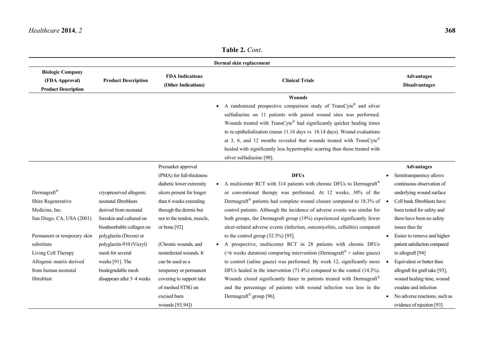| <b>Product Description</b>                                                                                                                    | <b>FDA Indications</b><br>(Other Indications)                                                                                                                 | <b>Clinical Trials</b>                                                                                                                                                                                                                                                                                                                                                                                                                                                                                                                                    | <b>Advantages</b><br><b>Disadvantages</b>                                                                                                                                                                                                            |                 |
|-----------------------------------------------------------------------------------------------------------------------------------------------|---------------------------------------------------------------------------------------------------------------------------------------------------------------|-----------------------------------------------------------------------------------------------------------------------------------------------------------------------------------------------------------------------------------------------------------------------------------------------------------------------------------------------------------------------------------------------------------------------------------------------------------------------------------------------------------------------------------------------------------|------------------------------------------------------------------------------------------------------------------------------------------------------------------------------------------------------------------------------------------------------|-----------------|
|                                                                                                                                               |                                                                                                                                                               | Wounds<br>A randomized prospective comparison study of TransCyte® and silver<br>sulfadiazine on 11 patients with paired wound sites was performed.<br>Wounds treated with TransCyte® had significantly quicker healing times<br>to re-epithelialization (mean 11.14 days vs. 18.14 days). Wound evaluations<br>at 3, 6, and 12 months revealed that wounds treated with TransCyte®<br>healed with significantly less hypertrophic scarring than those treated with                                                                                        |                                                                                                                                                                                                                                                      |                 |
|                                                                                                                                               | Premarket approval<br>(PMA) for full-thickness<br>diabetic lower extremity                                                                                    | <b>DFUs</b><br>A multicenter RCT with 314 patients with chronic DFUs to Dermagraft®<br>$\bullet$                                                                                                                                                                                                                                                                                                                                                                                                                                                          | <b>Advantages</b><br>Semitransparency allows<br>continuous observation of                                                                                                                                                                            |                 |
| cryopreserved allogenic<br>neonatal fibroblasts<br>derived from neonatal<br>foreskin and cultured on                                          | ulcers present for longer<br>than 6 weeks extending<br>through the dermis but<br>not to the tendon, muscle,                                                   | or conventional therapy was performed. At 12 weeks, 30% of the<br>control patients. Although the incidence of adverse events was similar for<br>both groups, the Dermagraft group (19%) experienced significantly fewer                                                                                                                                                                                                                                                                                                                                   | underlying wound surface<br>Cell bank fibroblasts have<br>been tested for safety and<br>there have been no safety                                                                                                                                    |                 |
| polyglactin (Dexon) or<br>polyglactin-910 (Vicryl)<br>mesh for several<br>weeks [91]. The<br>biodegradable mesh<br>disappears after 3-4 weeks | (Chronic wounds, and<br>noninfected wounds. It<br>can be used as a<br>temporary or permanent<br>covering to support take<br>of meshed STSG on<br>excised burn | to the control group $(32.5\%)$ [95].<br>A prospective, multicenter RCT in 28 patients with chronic DFUs<br>( $>6$ weeks duration) comparing intervention (Dermagraft <sup>®</sup> + saline gauze)<br>to control (saline gauze) was performed. By week 12, significantly more<br>DFUs healed in the intervention $(71.4\%)$ compared to the control $(14.3\%)$ .<br>Wounds closed significantly faster in patients treated with Dermagraft®<br>and the percentage of patients with wound infection was less in the<br>Dermagraft <sup>®</sup> group [96]. | Easier to remove and higher<br>$\bullet$<br>patient satisfaction compared<br>to allograft [94]<br>Equivalent or better than<br>allograft for graft take [93],<br>wound healing time, wound<br>exudate and infection<br>No adverse reactions, such as |                 |
|                                                                                                                                               | bioabsorbable collagen on                                                                                                                                     | or bone $[92]$                                                                                                                                                                                                                                                                                                                                                                                                                                                                                                                                            | Dermal skin replacement<br>silver sulfadiazine [90].<br>Dermagraft <sup>®</sup> patients had complete wound closure compared to $18.3\%$ of<br>ulcer-related adverse events (infection, osteomyelitis, cellulitis) compared                          | issues thus far |

**Table 2.** *Cont.*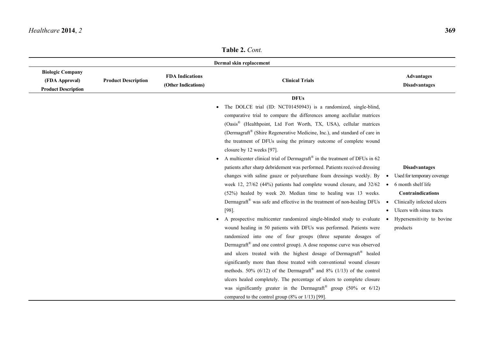|                                                                         |                            |                                               | raviv 4. Com.                                                                                                                                                                                                                                                                                                                                                                                                                                                                                                                                                                                                                                                                                                                                                                                                                                                                                                                                                                                                                                                                                                                                                                                                                                                                                                                                                                                                                                                                                                                                                                                                                                                                                                                   |                                                                                                                                                                                                                 |
|-------------------------------------------------------------------------|----------------------------|-----------------------------------------------|---------------------------------------------------------------------------------------------------------------------------------------------------------------------------------------------------------------------------------------------------------------------------------------------------------------------------------------------------------------------------------------------------------------------------------------------------------------------------------------------------------------------------------------------------------------------------------------------------------------------------------------------------------------------------------------------------------------------------------------------------------------------------------------------------------------------------------------------------------------------------------------------------------------------------------------------------------------------------------------------------------------------------------------------------------------------------------------------------------------------------------------------------------------------------------------------------------------------------------------------------------------------------------------------------------------------------------------------------------------------------------------------------------------------------------------------------------------------------------------------------------------------------------------------------------------------------------------------------------------------------------------------------------------------------------------------------------------------------------|-----------------------------------------------------------------------------------------------------------------------------------------------------------------------------------------------------------------|
|                                                                         |                            |                                               | Dermal skin replacement                                                                                                                                                                                                                                                                                                                                                                                                                                                                                                                                                                                                                                                                                                                                                                                                                                                                                                                                                                                                                                                                                                                                                                                                                                                                                                                                                                                                                                                                                                                                                                                                                                                                                                         |                                                                                                                                                                                                                 |
| <b>Biologic Company</b><br>(FDA Approval)<br><b>Product Description</b> | <b>Product Description</b> | <b>FDA</b> Indications<br>(Other Indications) | <b>Clinical Trials</b>                                                                                                                                                                                                                                                                                                                                                                                                                                                                                                                                                                                                                                                                                                                                                                                                                                                                                                                                                                                                                                                                                                                                                                                                                                                                                                                                                                                                                                                                                                                                                                                                                                                                                                          | <b>Advantages</b><br><b>Disadvantages</b>                                                                                                                                                                       |
|                                                                         |                            |                                               | <b>DFUs</b><br>The DOLCE trial (ID: NCT01450943) is a randomized, single-blind,<br>$\bullet$<br>comparative trial to compare the differences among acellular matrices<br>(Oasis <sup>®</sup> (Healthpoint, Ltd Fort Worth, TX, USA), cellular matrices<br>(Dermagraft® (Shire Regenerative Medicine, Inc.), and standard of care in<br>the treatment of DFUs using the primary outcome of complete wound<br>closure by 12 weeks [97].<br>A multicenter clinical trial of Dermagraft <sup>®</sup> in the treatment of DFUs in 62<br>$\bullet$<br>patients after sharp debridement was performed. Patients received dressing<br>changes with saline gauze or polyurethane foam dressings weekly. By<br>week 12, 27/62 (44%) patients had complete wound closure, and 32/62<br>(52%) healed by week 20. Median time to healing was 13 weeks.<br>Dermagraft® was safe and effective in the treatment of non-healing DFUs<br>$[98]$ .<br>A prospective multicenter randomized single-blinded study to evaluate •<br>$\bullet$<br>wound healing in 50 patients with DFUs was performed. Patients were<br>randomized into one of four groups (three separate dosages of<br>Dermagraft <sup>®</sup> and one control group). A dose response curve was observed<br>and ulcers treated with the highest dosage of Dermagraft <sup>®</sup> healed<br>significantly more than those treated with conventional wound closure<br>methods. 50% (6/12) of the Dermagraft <sup>®</sup> and 8% (1/13) of the control<br>ulcers healed completely. The percentage of ulcers to complete closure<br>was significantly greater in the Dermagraft <sup>®</sup> group (50% or $6/12$ )<br>compared to the control group $(8\% \text{ or } 1/13)$ [99]. | <b>Disadvantages</b><br>Used for temporary coverage<br>6 month shelf life<br>$\bullet$<br>Contraindications<br>Clinically infected ulcers<br>Ulcers with sinus tracts<br>Hypersensitivity to bovine<br>products |

**Table 2.** *Cont.*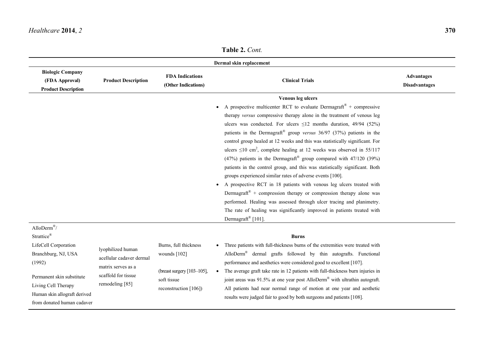**Table 2.** *Cont.*

|                                                                         |                            |                                               | Dermal skin replacement                                                                      |                                           |
|-------------------------------------------------------------------------|----------------------------|-----------------------------------------------|----------------------------------------------------------------------------------------------|-------------------------------------------|
| <b>Biologic Company</b><br>(FDA Approval)<br><b>Product Description</b> | <b>Product Description</b> | <b>FDA Indications</b><br>(Other Indications) | <b>Clinical Trials</b>                                                                       | <b>Advantages</b><br><b>Disadvantages</b> |
|                                                                         |                            |                                               | Venous leg ulcers                                                                            |                                           |
|                                                                         |                            |                                               | A prospective multicenter RCT to evaluate Dermagraft <sup>®</sup> + compressive<br>$\bullet$ |                                           |
|                                                                         |                            |                                               | therapy versus compressive therapy alone in the treatment of venous leg                      |                                           |
|                                                                         |                            |                                               | ulcers was conducted. For ulcers $\leq 12$ months duration, 49/94 (52%)                      |                                           |
|                                                                         |                            |                                               | patients in the Dermagraft <sup>®</sup> group versus $36/97$ ( $37\%$ ) patients in the      |                                           |
|                                                                         |                            |                                               | control group healed at 12 weeks and this was statistically significant. For                 |                                           |
|                                                                         |                            |                                               | ulcers $\leq 10$ cm <sup>2</sup> , complete healing at 12 weeks was observed in 55/117       |                                           |
|                                                                         |                            |                                               | (47%) patients in the Dermagraft <sup>®</sup> group compared with 47/120 (39%)               |                                           |
|                                                                         |                            |                                               | patients in the control group, and this was statistically significant. Both                  |                                           |
|                                                                         |                            |                                               | groups experienced similar rates of adverse events [100].                                    |                                           |
|                                                                         |                            |                                               | A prospective RCT in 18 patients with venous leg ulcers treated with<br>$\bullet$            |                                           |
|                                                                         |                            |                                               | Dermagraft <sup>®</sup> + compression therapy or compression therapy alone was               |                                           |
|                                                                         |                            |                                               | performed. Healing was assessed through ulcer tracing and planimetry.                        |                                           |
|                                                                         |                            |                                               | The rate of healing was significantly improved in patients treated with                      |                                           |
|                                                                         |                            |                                               | Dermagraft® [101].                                                                           |                                           |
| AlloDerm®/                                                              |                            |                                               |                                                                                              |                                           |
| Strattice®                                                              |                            |                                               | <b>Burns</b>                                                                                 |                                           |
| LifeCell Corporation                                                    | lyophilized human          | Burns, full thickness                         | Three patients with full-thickness burns of the extremities were treated with                |                                           |
| Branchburg, NJ, USA                                                     | acellular cadaver dermal   | wounds [102]                                  | AlloDerm <sup>®</sup> dermal grafts followed by thin autografts. Functional                  |                                           |
| (1992)                                                                  | matrix serves as a         |                                               | performance and aesthetics were considered good to excellent [107].                          |                                           |
|                                                                         | scaffold for tissue        | (breast surgery $[103-105]$ ,                 | The average graft take rate in 12 patients with full-thickness burn injuries in<br>$\bullet$ |                                           |
| Permanent skin substitute                                               | remodeling [85]            | soft tissue                                   | joint areas was 91.5% at one year post AlloDerm <sup>®</sup> with ultrathin autograft.       |                                           |
| Living Cell Therapy                                                     |                            | reconstruction [106])                         | All patients had near normal range of motion at one year and aesthetic                       |                                           |
| Human skin allograft derived<br>from donated human cadaver              |                            |                                               | results were judged fair to good by both surgeons and patients [108].                        |                                           |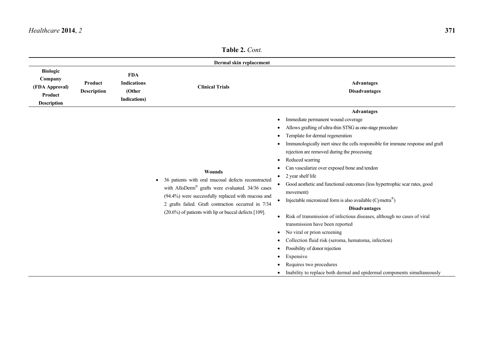|                                                                               |                               |                                                                    | $\blacksquare$ adiv $\blacksquare$ . $\cup$ viii.                                                                                                                                                                                                                                                                      |                                                                                                                                                                                                                                                                                                                                                                                                                                                                                                                                                                                                                                                                                                                                                                                                                                                                                                                                                                           |
|-------------------------------------------------------------------------------|-------------------------------|--------------------------------------------------------------------|------------------------------------------------------------------------------------------------------------------------------------------------------------------------------------------------------------------------------------------------------------------------------------------------------------------------|---------------------------------------------------------------------------------------------------------------------------------------------------------------------------------------------------------------------------------------------------------------------------------------------------------------------------------------------------------------------------------------------------------------------------------------------------------------------------------------------------------------------------------------------------------------------------------------------------------------------------------------------------------------------------------------------------------------------------------------------------------------------------------------------------------------------------------------------------------------------------------------------------------------------------------------------------------------------------|
|                                                                               |                               |                                                                    | Dermal skin replacement                                                                                                                                                                                                                                                                                                |                                                                                                                                                                                                                                                                                                                                                                                                                                                                                                                                                                                                                                                                                                                                                                                                                                                                                                                                                                           |
| <b>Biologic</b><br>Company<br>(FDA Approval)<br>Product<br><b>Description</b> | Product<br><b>Description</b> | <b>FDA</b><br><b>Indications</b><br>(Other<br><b>Indications</b> ) | <b>Clinical Trials</b>                                                                                                                                                                                                                                                                                                 | <b>Advantages</b><br><b>Disadvantages</b>                                                                                                                                                                                                                                                                                                                                                                                                                                                                                                                                                                                                                                                                                                                                                                                                                                                                                                                                 |
|                                                                               |                               |                                                                    | Wounds<br>36 patients with oral mucosal defects reconstructed<br>$\bullet$<br>with AlloDerm <sup>®</sup> grafts were evaluated. $34/36$ cases<br>(94.4%) were successfully replaced with mucosa and<br>2 grafts failed. Graft contraction occurred in 7/34<br>$(20.6\%)$ of patients with lip or buccal defects [109]. | <b>Advantages</b><br>Immediate permanent wound coverage<br>Allows grafting of ultra-thin STSG as one-stage procedure<br>Template for dermal regeneration<br>Immunologically inert since the cells responsible for immune response and graft<br>rejection are removed during the processing<br>Reduced scarring<br>$\bullet$<br>Can vascularize over exposed bone and tendon<br>٠<br>2 year shelf life<br>$\bullet$<br>• Good aesthetic and functional outcomes (less hypertrophic scar rates, good<br>movement)<br>Injectable micronized form is also available (Cymetra®)<br>$\bullet$<br><b>Disadvantages</b><br>Risk of transmission of infectious diseases, although no cases of viral<br>transmission have been reported<br>No viral or prion screening<br>Collection fluid risk (seroma, hematoma, infection)<br>Possibility of donor rejection<br>Expensive<br>Requires two procedures<br>Inability to replace both dermal and epidermal components simultaneously |

**Table 2.** *Cont.*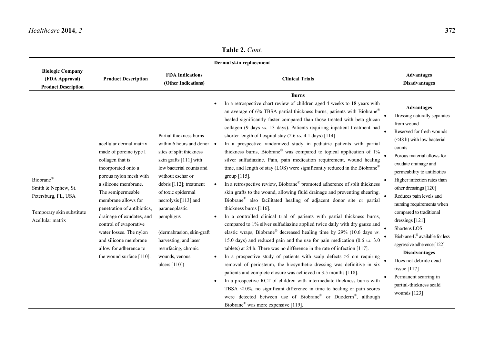**Table 2.** *Cont.*

|                                                                                                          |                                                                                                                                                                                                                                                                                                                                                                                            |                                                                                                                                                                                                                                                                                                                                                                                                | Dermal skin replacement                                                                                                                                                                                                                                                                                                                                                                                                                                                                                                                                                                                                                                                                                                                                                                                                                                                                                                                                                                                                                                                                                                                                                                                                                                                                                                                                                                                                                                                                                                                                                                                                                                                                                                                                                                                                                                                                                               |                                                                                                                                                                                                                                                                                                                                                                                                                                                                                                                                                                                                                |
|----------------------------------------------------------------------------------------------------------|--------------------------------------------------------------------------------------------------------------------------------------------------------------------------------------------------------------------------------------------------------------------------------------------------------------------------------------------------------------------------------------------|------------------------------------------------------------------------------------------------------------------------------------------------------------------------------------------------------------------------------------------------------------------------------------------------------------------------------------------------------------------------------------------------|-----------------------------------------------------------------------------------------------------------------------------------------------------------------------------------------------------------------------------------------------------------------------------------------------------------------------------------------------------------------------------------------------------------------------------------------------------------------------------------------------------------------------------------------------------------------------------------------------------------------------------------------------------------------------------------------------------------------------------------------------------------------------------------------------------------------------------------------------------------------------------------------------------------------------------------------------------------------------------------------------------------------------------------------------------------------------------------------------------------------------------------------------------------------------------------------------------------------------------------------------------------------------------------------------------------------------------------------------------------------------------------------------------------------------------------------------------------------------------------------------------------------------------------------------------------------------------------------------------------------------------------------------------------------------------------------------------------------------------------------------------------------------------------------------------------------------------------------------------------------------------------------------------------------------|----------------------------------------------------------------------------------------------------------------------------------------------------------------------------------------------------------------------------------------------------------------------------------------------------------------------------------------------------------------------------------------------------------------------------------------------------------------------------------------------------------------------------------------------------------------------------------------------------------------|
| <b>Biologic Company</b><br>(FDA Approval)<br><b>Product Description</b>                                  | <b>Product Description</b>                                                                                                                                                                                                                                                                                                                                                                 | <b>FDA Indications</b><br>(Other Indications)                                                                                                                                                                                                                                                                                                                                                  | <b>Clinical Trials</b>                                                                                                                                                                                                                                                                                                                                                                                                                                                                                                                                                                                                                                                                                                                                                                                                                                                                                                                                                                                                                                                                                                                                                                                                                                                                                                                                                                                                                                                                                                                                                                                                                                                                                                                                                                                                                                                                                                | <b>Advantages</b><br><b>Disadvantages</b>                                                                                                                                                                                                                                                                                                                                                                                                                                                                                                                                                                      |
| Biobrane®<br>Smith & Nephew, St.<br>Petersburg, FL, USA<br>Temporary skin substitute<br>Acellular matrix | acellular dermal matrix<br>made of porcine type I<br>collagen that is<br>incorporated onto a<br>porous nylon mesh with<br>a silicone membrane.<br>The semipermeable<br>membrane allows for<br>penetration of antibiotics,<br>drainage of exudates, and<br>control of evaporative<br>water losses. The nylon<br>and silicone membrane<br>allow for adherence to<br>the wound surface [110]. | Partial thickness burns<br>within 6 hours and donor $\bullet$<br>sites of split thickness<br>skin grafts [111] with<br>low bacterial counts and<br>without eschar or<br>debris [112]; treatment<br>of toxic epidermal<br>necrolysis [113] and<br>paraneoplastic<br>pemphigus<br>(dermabrasion, skin-graft<br>harvesting, and laser<br>resurfacing, chronic<br>wounds, venous<br>ulcers $[110]$ | <b>Burns</b><br>In a retrospective chart review of children aged 4 weeks to 18 years with<br>an average of 6% TBSA partial thickness burns, patients with Biobrane®<br>healed significantly faster compared than those treated with beta glucan<br>collagen (9 days vs. 13 days). Patients requiring inpatient treatment had<br>shorter length of hospital stay $(2.6 \text{ vs. } 4.1 \text{ days})$ [114]<br>In a prospective randomized study in pediatric patients with partial<br>thickness burns, Biobrane® was compared to topical application of 1%<br>silver sulfadiazine. Pain, pain medication requirement, wound healing<br>time, and length of stay (LOS) were significantly reduced in the Biobrane®<br>group [115].<br>In a retrospective review, Biobrane® promoted adherence of split thickness<br>skin grafts to the wound, allowing fluid drainage and preventing shearing.<br>Biobrane® also facilitated healing of adjacent donor site or partial<br>thickness burns $[116]$ .<br>In a controlled clinical trial of patients with partial thickness burns,<br>compared to 1% silver sulfadiazine applied twice daily with dry gauze and<br>elastic wraps, Biobrane® decreased healing time by $29\%$ (10.6 days vs.<br>15.0 days) and reduced pain and the use for pain medication $(0.6 \text{ vs. } 3.0)$<br>tablets) at 24 h. There was no difference in the rate of infection [117].<br>In a prospective study of patients with scalp defects $>5$ cm requiring<br>removal of periosteum, the biosynthetic dressing was definitive in six<br>patients and complete closure was achieved in 3.5 months [118].<br>In a prospective RCT of children with intermediate thickness burns with<br>TBSA $\leq 10\%$ , no significant difference in time to healing or pain scores<br>were detected between use of Biobrane® or Duoderm®, although<br>Biobrane <sup>®</sup> was more expensive [119]. | <b>Advantages</b><br>Dressing naturally separates<br>from wound<br>Reserved for fresh wounds<br>(<48 h) with low bacterial<br>counts<br>Porous material allows for<br>exudate drainage and<br>permeability to antibiotics<br>Higher infection rates than<br>other dressings [120]<br>Reduces pain levels and<br>nursing requirements when<br>compared to traditional<br>dressings [121]<br>Shortens LOS<br>Biobrane-L® available for less<br>aggressive adherence [122]<br><b>Disadvantages</b><br>Does not debride dead<br>tissue [117]<br>Permanent scarring in<br>partial-thickness scald<br>wounds $[123]$ |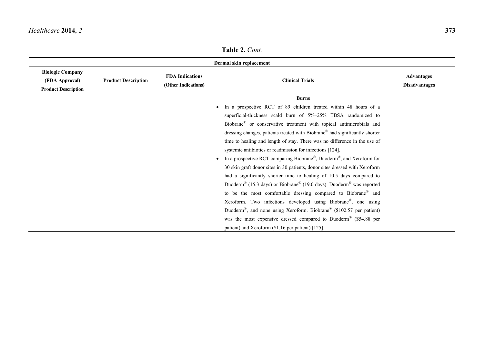| Dermal skin replacement                                                 |                            |                                               |                                                                                                          |                                           |  |
|-------------------------------------------------------------------------|----------------------------|-----------------------------------------------|----------------------------------------------------------------------------------------------------------|-------------------------------------------|--|
| <b>Biologic Company</b><br>(FDA Approval)<br><b>Product Description</b> | <b>Product Description</b> | <b>FDA</b> Indications<br>(Other Indications) | <b>Clinical Trials</b>                                                                                   | <b>Advantages</b><br><b>Disadvantages</b> |  |
|                                                                         |                            |                                               | <b>Burns</b>                                                                                             |                                           |  |
|                                                                         |                            |                                               | In a prospective RCT of 89 children treated within 48 hours of a                                         |                                           |  |
|                                                                         |                            |                                               | superficial-thickness scald burn of 5%-25% TBSA randomized to                                            |                                           |  |
|                                                                         |                            |                                               | Biobrane® or conservative treatment with topical antimicrobials and                                      |                                           |  |
|                                                                         |                            |                                               | dressing changes, patients treated with Biobrane® had significantly shorter                              |                                           |  |
|                                                                         |                            |                                               | time to healing and length of stay. There was no difference in the use of                                |                                           |  |
|                                                                         |                            |                                               | systemic antibiotics or readmission for infections [124].                                                |                                           |  |
|                                                                         |                            |                                               | In a prospective RCT comparing Biobrane®, Duoderm®, and Xeroform for                                     |                                           |  |
|                                                                         |                            |                                               | 30 skin graft donor sites in 30 patients, donor sites dressed with Xeroform                              |                                           |  |
|                                                                         |                            |                                               | had a significantly shorter time to healing of 10.5 days compared to                                     |                                           |  |
|                                                                         |                            |                                               | Duoderm <sup>®</sup> (15.3 days) or Biobrane <sup>®</sup> (19.0 days). Duoderm <sup>®</sup> was reported |                                           |  |
|                                                                         |                            |                                               | to be the most comfortable dressing compared to Biobrane® and                                            |                                           |  |
|                                                                         |                            |                                               | Xeroform. Two infections developed using Biobrane®, one using                                            |                                           |  |
|                                                                         |                            |                                               | Duoderm <sup>®</sup> , and none using Xeroform. Biobrane <sup>®</sup> (\$102.57 per patient)             |                                           |  |
|                                                                         |                            |                                               | was the most expensive dressed compared to Duoderm <sup>®</sup> (\$54.88 per                             |                                           |  |
|                                                                         |                            |                                               | patient) and Xeroform (\$1.16 per patient) [125].                                                        |                                           |  |

**Table 2.** *Cont.*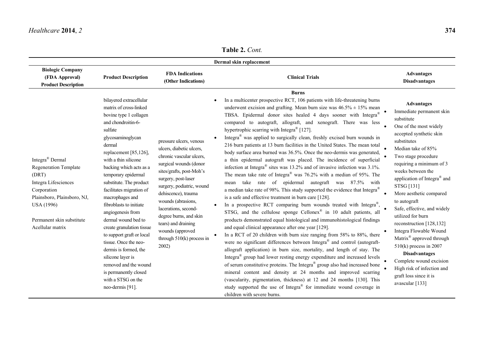**Table 2.** *Cont.*

|                                                                                                                                                                                                                  |                                                                                                                                                                                                                                                                                                                                                                                                                                                                                                                                                                                                                              |                                                                                                                                                                                                                                                                                                                                                                             | Dermal skin replacement                                                                                                                                                                                                                                                                                                                                                                                                                                                                                                                                                                                                                                                                                                                                                                                                                                                                                                                                                                                                                                                                                                                                                                                                                                                                                                                                                                                                                                                                                                                                                                                                                                                                                                                                                                                                                                                                                                                                                                                                                                     |                                                                                                                                                                                                                                                                                                                                                                                                                                                                                                                                                                                                                                               |
|------------------------------------------------------------------------------------------------------------------------------------------------------------------------------------------------------------------|------------------------------------------------------------------------------------------------------------------------------------------------------------------------------------------------------------------------------------------------------------------------------------------------------------------------------------------------------------------------------------------------------------------------------------------------------------------------------------------------------------------------------------------------------------------------------------------------------------------------------|-----------------------------------------------------------------------------------------------------------------------------------------------------------------------------------------------------------------------------------------------------------------------------------------------------------------------------------------------------------------------------|-------------------------------------------------------------------------------------------------------------------------------------------------------------------------------------------------------------------------------------------------------------------------------------------------------------------------------------------------------------------------------------------------------------------------------------------------------------------------------------------------------------------------------------------------------------------------------------------------------------------------------------------------------------------------------------------------------------------------------------------------------------------------------------------------------------------------------------------------------------------------------------------------------------------------------------------------------------------------------------------------------------------------------------------------------------------------------------------------------------------------------------------------------------------------------------------------------------------------------------------------------------------------------------------------------------------------------------------------------------------------------------------------------------------------------------------------------------------------------------------------------------------------------------------------------------------------------------------------------------------------------------------------------------------------------------------------------------------------------------------------------------------------------------------------------------------------------------------------------------------------------------------------------------------------------------------------------------------------------------------------------------------------------------------------------------|-----------------------------------------------------------------------------------------------------------------------------------------------------------------------------------------------------------------------------------------------------------------------------------------------------------------------------------------------------------------------------------------------------------------------------------------------------------------------------------------------------------------------------------------------------------------------------------------------------------------------------------------------|
| <b>Biologic Company</b><br>(FDA Approval)<br><b>Product Description</b>                                                                                                                                          | <b>Product Description</b>                                                                                                                                                                                                                                                                                                                                                                                                                                                                                                                                                                                                   | <b>FDA Indications</b><br>(Other Indications)                                                                                                                                                                                                                                                                                                                               | <b>Clinical Trials</b>                                                                                                                                                                                                                                                                                                                                                                                                                                                                                                                                                                                                                                                                                                                                                                                                                                                                                                                                                                                                                                                                                                                                                                                                                                                                                                                                                                                                                                                                                                                                                                                                                                                                                                                                                                                                                                                                                                                                                                                                                                      | <b>Advantages</b><br><b>Disadvantages</b>                                                                                                                                                                                                                                                                                                                                                                                                                                                                                                                                                                                                     |
| Integra <sup>®</sup> Dermal<br><b>Regeneration Template</b><br>(DRT)<br>Integra Lifesciences<br>Corporation<br>Plainsboro, Plainsboro, NJ,<br><b>USA</b> (1996)<br>Permanent skin substitute<br>Acellular matrix | bilayered extracellular<br>matrix of cross-linked<br>bovine type 1 collagen<br>and chondroitin-6-<br>sulfate<br>glycosaminoglycan<br>dermal<br>replacement [85,126],<br>with a thin silicone<br>backing which acts as a<br>temporary epidermal<br>substitute. The product<br>facilitates migration of<br>macrophages and<br>fibroblasts to initiate<br>angiogenesis from<br>dermal wound bed to<br>create granulation tissue<br>to support graft or local<br>tissue. Once the neo-<br>dermis is formed, the<br>silicone layer is<br>removed and the wound<br>is permanently closed<br>with a STSG on the<br>neo-dermis [91]. | pressure ulcers, venous<br>ulcers, diabetic ulcers,<br>chronic vascular ulcers,<br>surgical wounds (donor<br>sites/grafts, post-Moh's<br>surgery, post-laser<br>surgery, podiatric, wound<br>dehiscence), trauma<br>wounds (abrasions,<br>lacerations, second-<br>degree burns, and skin<br>tears) and draining<br>wounds (approved<br>through $510(k)$ process in<br>2002) | <b>Burns</b><br>In a multicenter prospective RCT, 106 patients with life-threatening burns<br>underwent excision and grafting. Mean burn size was $46.5\% \pm 15\%$ mean<br>TBSA. Epidermal donor sites healed 4 days sooner with Integra®<br>compared to autograft, allograft, and xenograft. There was less<br>hypertrophic scarring with Integra <sup>®</sup> [127].<br>Integra <sup>®</sup> was applied to surgically clean, freshly excised burn wounds in<br>216 burn patients at 13 burn facilities in the United States. The mean total<br>body surface area burned was 36.5%. Once the neo-dermis was generated,<br>a thin epidermal autograft was placed. The incidence of superficial<br>infection at Integra <sup>®</sup> sites was 13.2% and of invasive infection was $3.1\%$ .<br>The mean take rate of Integra <sup>®</sup> was 76.2% with a median of 95%. The<br>take rate of epidermal autograft was 87.5% with<br>mean<br>a median take rate of 98%. This study supported the evidence that Integra <sup>®</sup><br>is a safe and effective treatment in burn care [128].<br>In a prospective RCT comparing burn wounds treated with Integra®,<br>STSG, and the cellulose sponge Cellonex® in 10 adult patients, all<br>products demonstrated equal histological and immunohistological findings<br>and equal clinical appearance after one year [129].<br>In a RCT of 20 children with burn size ranging from 58% to 88%, there<br>were no significant differences between Integra® and control (autograft-<br>allograft application) in burn size, mortality, and length of stay. The<br>Integra <sup>®</sup> group had lower resting energy expenditure and increased levels<br>of serum constitutive proteins. The Integra <sup>®</sup> group also had increased bone<br>mineral content and density at 24 months and improved scarring<br>(vascularity, pigmentation, thickness) at 12 and 24 months [130]. This<br>study supported the use of Integra <sup>®</sup> for immediate wound coverage in<br>children with severe burns. | <b>Advantages</b><br>Immediate permanent skin<br>substitute<br>One of the most widely<br>accepted synthetic skin<br>substitutes<br>Median take of 85%<br>Two stage procedure<br>requiring a minimum of 3<br>weeks between the<br>application of Integra <sup>®</sup> and<br>STSG [131]<br>More aesthetic compared<br>to autograft<br>Safe, effective, and widely<br>utilized for burn<br>reconstruction [128,132]<br>Integra Flowable Wound<br>Matrix <sup>®</sup> approved through<br>$510(k)$ process in 2007<br><b>Disadvantages</b><br>Complete wound excision<br>High risk of infection and<br>graft loss since it is<br>avascular [133] |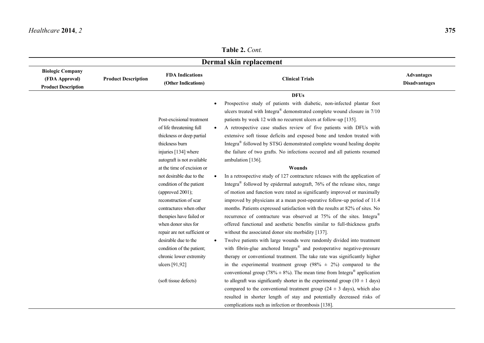# **Table 2.** *Cont.*

| <b>Biologic Company</b>                      |                            |                                               | Dermal skin replacement                                                                |                                           |
|----------------------------------------------|----------------------------|-----------------------------------------------|----------------------------------------------------------------------------------------|-------------------------------------------|
| (FDA Approval)<br><b>Product Description</b> | <b>Product Description</b> | <b>FDA Indications</b><br>(Other Indications) | <b>Clinical Trials</b>                                                                 | <b>Advantages</b><br><b>Disadvantages</b> |
|                                              |                            |                                               | <b>DFUs</b>                                                                            |                                           |
|                                              |                            |                                               | Prospective study of patients with diabetic, non-infected plantar foot                 |                                           |
|                                              |                            |                                               | ulcers treated with Integra® demonstrated complete wound closure in 7/10               |                                           |
|                                              |                            | Post-excisional treatment                     | patients by week 12 with no recurrent ulcers at follow-up [135].                       |                                           |
|                                              |                            | of life threatening full                      | A retrospective case studies review of five patients with DFUs with                    |                                           |
|                                              |                            | thickness or deep partial                     | extensive soft tissue deficits and exposed bone and tendon treated with                |                                           |
|                                              |                            | thickness burn                                | Integra <sup>®</sup> followed by STSG demonstrated complete wound healing despite      |                                           |
|                                              |                            | injuries [134] where                          | the failure of two grafts. No infections occured and all patients resumed              |                                           |
|                                              |                            | autograft is not available                    | ambulation [136].                                                                      |                                           |
|                                              |                            | at the time of excision or                    | Wounds                                                                                 |                                           |
|                                              |                            | not desirable due to the                      | In a retrospective study of 127 contracture releases with the application of           |                                           |
|                                              |                            | condition of the patient                      | Integra <sup>®</sup> followed by epidermal autograft, 76% of the release sites, range  |                                           |
|                                              |                            | (approved $2001$ );                           | of motion and function were rated as significantly improved or maximally               |                                           |
|                                              |                            | reconstruction of scar                        | improved by physicians at a mean post-operative follow-up period of 11.4               |                                           |
|                                              |                            | contractures when other                       | months. Patients expressed satisfaction with the results at 82% of sites. No           |                                           |
|                                              |                            | therapies have failed or                      | recurrence of contracture was observed at 75% of the sites. Integra <sup>®</sup>       |                                           |
|                                              |                            | when donor sites for                          | offered functional and aesthetic benefits similar to full-thickness grafts             |                                           |
|                                              |                            | repair are not sufficient or                  | without the associated donor site morbidity [137].                                     |                                           |
|                                              |                            | desirable due to the<br>$\bullet$             | Twelve patients with large wounds were randomly divided into treatment                 |                                           |
|                                              |                            | condition of the patient;                     | with fibrin-glue anchored Integra® and postoperative negative-pressure                 |                                           |
|                                              |                            | chronic lower extremity                       | therapy or conventional treatment. The take rate was significantly higher              |                                           |
|                                              |                            | ulcers [91,92]                                | in the experimental treatment group (98% $\pm$ 2%) compared to the                     |                                           |
|                                              |                            |                                               | conventional group (78% $\pm$ 8%). The mean time from Integra <sup>®</sup> application |                                           |
|                                              |                            | (soft tissue defects)                         | to allograft was significantly shorter in the experimental group $(10 \pm 1$ days)     |                                           |
|                                              |                            |                                               | compared to the conventional treatment group ( $24 \pm 3$ days), which also            |                                           |
|                                              |                            |                                               | resulted in shorter length of stay and potentially decreased risks of                  |                                           |
|                                              |                            |                                               | complications such as infection or thrombosis [138].                                   |                                           |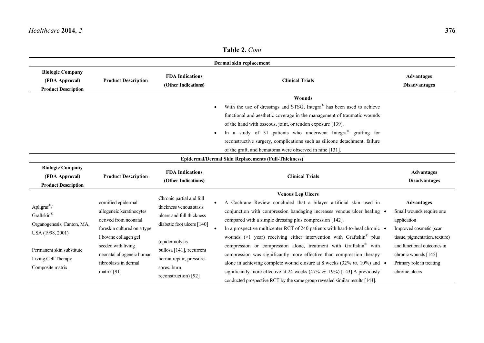| <b>Biologic Company</b><br>(FDA Approval)<br><b>Product Description</b>                                                                                         | <b>Product Description</b>                                                                                                                                                                                                    | <b>FDA Indications</b><br>(Other Indications)                                                                                                                                                                                  | Dermal skin replacement<br><b>Clinical Trials</b>                                                                                                                                                                                                                                                                                                                                                                                                                                                                                                                                                                                                                                                                                                                                                                    | <b>Advantages</b><br><b>Disadvantages</b>                                                                                                                                                                                     |
|-----------------------------------------------------------------------------------------------------------------------------------------------------------------|-------------------------------------------------------------------------------------------------------------------------------------------------------------------------------------------------------------------------------|--------------------------------------------------------------------------------------------------------------------------------------------------------------------------------------------------------------------------------|----------------------------------------------------------------------------------------------------------------------------------------------------------------------------------------------------------------------------------------------------------------------------------------------------------------------------------------------------------------------------------------------------------------------------------------------------------------------------------------------------------------------------------------------------------------------------------------------------------------------------------------------------------------------------------------------------------------------------------------------------------------------------------------------------------------------|-------------------------------------------------------------------------------------------------------------------------------------------------------------------------------------------------------------------------------|
|                                                                                                                                                                 |                                                                                                                                                                                                                               |                                                                                                                                                                                                                                | Wounds<br>With the use of dressings and STSG, Integra <sup>®</sup> has been used to achieve<br>functional and aesthetic coverage in the management of traumatic wounds<br>of the hand with osseous, joint, or tendon exposure [139].<br>In a study of 31 patients who underwent Integra <sup>®</sup> grafting for<br>reconstructive surgery, complications such as silicone detachment, failure<br>of the graft, and hematoma were observed in nine [131].                                                                                                                                                                                                                                                                                                                                                           |                                                                                                                                                                                                                               |
|                                                                                                                                                                 |                                                                                                                                                                                                                               |                                                                                                                                                                                                                                | <b>Epidermal/Dermal Skin Replacements (Full-Thickness)</b>                                                                                                                                                                                                                                                                                                                                                                                                                                                                                                                                                                                                                                                                                                                                                           |                                                                                                                                                                                                                               |
| <b>Biologic Company</b><br>(FDA Approval)<br><b>Product Description</b>                                                                                         | <b>Product Description</b>                                                                                                                                                                                                    | <b>FDA</b> Indications<br>(Other Indications)                                                                                                                                                                                  | <b>Clinical Trials</b>                                                                                                                                                                                                                                                                                                                                                                                                                                                                                                                                                                                                                                                                                                                                                                                               | <b>Advantages</b><br><b>Disadvantages</b>                                                                                                                                                                                     |
| Apligraf <sup>®</sup> /<br>Graftskin®<br>Organogenesis, Canton, MA,<br>USA (1998, 2001)<br>Permanent skin substitute<br>Living Cell Therapy<br>Composite matrix | cornified epidermal<br>allogeneic keratinocytes<br>derived from neonatal<br>foreskin cultured on a type<br>I bovine collagen gel<br>seeded with living<br>neonatal allogeneic human<br>fibroblasts in dermal<br>matrix $[91]$ | Chronic partial and full<br>thickness venous stasis<br>ulcers and full thickness<br>diabetic foot ulcers [140]<br>(epidermolysis<br>bullosa [141], recurrent<br>hernia repair, pressure<br>sores, burn<br>reconstruction) [92] | <b>Venous Leg Ulcers</b><br>A Cochrane Review concluded that a bilayer artificial skin used in<br>conjunction with compression bandaging increases venous ulcer healing •<br>compared with a simple dressing plus compression [142].<br>In a prospective multicenter RCT of 240 patients with hard-to-heal chronic •<br>wounds ( $>1$ year) receiving either intervention with Graftskin <sup>®</sup> plus<br>compression or compression alone, treatment with Graftskin <sup>®</sup> with<br>compression was significantly more effective than compression therapy<br>alone in achieving complete wound closure at 8 weeks (32% vs. 10%) and $\bullet$<br>significantly more effective at 24 weeks (47% vs. 19%) [143]. A previously<br>conducted prospective RCT by the same group revealed similar results [144]. | <b>Advantages</b><br>Small wounds require one<br>application<br>Improved cosmetic (scar<br>tissue, pigmentation, texture)<br>and functional outcomes in<br>chronic wounds [145]<br>Primary role in treating<br>chronic ulcers |

**Table 2.** *Cont*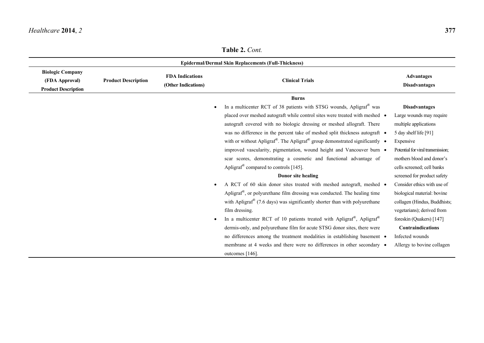**Table 2.** *Cont.*

|                                                                         | <b>Epidermal/Dermal Skin Replacements (Full-Thickness)</b> |                                               |                                                                                                              |                                           |  |
|-------------------------------------------------------------------------|------------------------------------------------------------|-----------------------------------------------|--------------------------------------------------------------------------------------------------------------|-------------------------------------------|--|
| <b>Biologic Company</b><br>(FDA Approval)<br><b>Product Description</b> | <b>Product Description</b>                                 | <b>FDA</b> Indications<br>(Other Indications) | <b>Clinical Trials</b>                                                                                       | <b>Advantages</b><br><b>Disadvantages</b> |  |
|                                                                         |                                                            |                                               | <b>Burns</b>                                                                                                 |                                           |  |
|                                                                         |                                                            |                                               | In a multicenter RCT of 38 patients with STSG wounds, Apligraf <sup>®</sup> was                              | <b>Disadvantages</b>                      |  |
|                                                                         |                                                            |                                               | placed over meshed autograft while control sites were treated with meshed •                                  | Large wounds may require                  |  |
|                                                                         |                                                            |                                               | autograft covered with no biologic dressing or meshed allograft. There                                       | multiple applications                     |  |
|                                                                         |                                                            |                                               | was no difference in the percent take of meshed split thickness autograft •                                  | 5 day shelf life [91]                     |  |
|                                                                         |                                                            |                                               | with or without Apligraf <sup>®</sup> . The Apligraf <sup>®</sup> group demonstrated significantly $\bullet$ | Expensive                                 |  |
|                                                                         |                                                            |                                               | improved vascularity, pigmentation, wound height and Vancouver burn •                                        | Potential for viral transmission;         |  |
|                                                                         |                                                            |                                               | scar scores, demonstrating a cosmetic and functional advantage of                                            | mothers blood and donor's                 |  |
|                                                                         |                                                            |                                               | Apligraf <sup>®</sup> compared to controls [145].                                                            | cells screened; cell banks                |  |
|                                                                         |                                                            |                                               | Donor site healing                                                                                           | screened for product safety               |  |
|                                                                         |                                                            |                                               | A RCT of 60 skin donor sites treated with meshed autograft, meshed .<br>$\bullet$                            | Consider ethics with use of               |  |
|                                                                         |                                                            |                                               | Apligraf <sup>®</sup> , or polyurethane film dressing was conducted. The healing time                        | biological material: bovine               |  |
|                                                                         |                                                            |                                               | with Apligraf <sup>®</sup> (7.6 days) was significantly shorter than with polyurethane                       | collagen (Hindus, Buddhists;              |  |
|                                                                         |                                                            |                                               | film dressing.                                                                                               | vegetarians); derived from                |  |
|                                                                         |                                                            |                                               | In a multicenter RCT of 10 patients treated with Apligraf®, Apligraf®                                        | foreskin (Quakers) [147]                  |  |
|                                                                         |                                                            |                                               | dermis-only, and polyure than efilm for acute STSG donor sites, there were                                   | <b>Contraindications</b>                  |  |
|                                                                         |                                                            |                                               | no differences among the treatment modalities in establishing basement •                                     | Infected wounds                           |  |
|                                                                         |                                                            |                                               | membrane at 4 weeks and there were no differences in other secondary •                                       | Allergy to bovine collagen                |  |
|                                                                         |                                                            |                                               | outcomes $[146]$ .                                                                                           |                                           |  |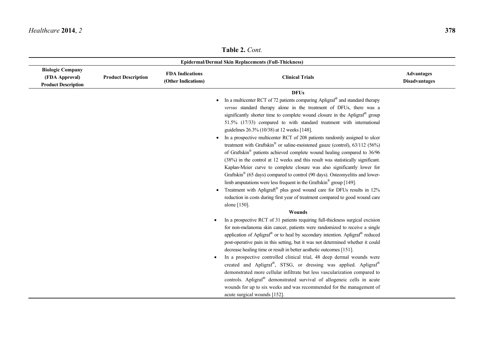**Table 2.** *Cont.*

|                                                                         | <b>Epidermal/Dermal Skin Replacements (Full-Thickness)</b> |                                               |                                                                                                                                                                                                                                                                                                                                                                                                                                                                                                                                                                                                                                                                                                                                                                                                                                                                                                                                                                                                                                                                                                                                                                                                                                                                                                                                                                                                                                                                                                                                                                                                                                                                                                                                                                                                                                                                                                                                                                                                                                                                         |                                           |  |
|-------------------------------------------------------------------------|------------------------------------------------------------|-----------------------------------------------|-------------------------------------------------------------------------------------------------------------------------------------------------------------------------------------------------------------------------------------------------------------------------------------------------------------------------------------------------------------------------------------------------------------------------------------------------------------------------------------------------------------------------------------------------------------------------------------------------------------------------------------------------------------------------------------------------------------------------------------------------------------------------------------------------------------------------------------------------------------------------------------------------------------------------------------------------------------------------------------------------------------------------------------------------------------------------------------------------------------------------------------------------------------------------------------------------------------------------------------------------------------------------------------------------------------------------------------------------------------------------------------------------------------------------------------------------------------------------------------------------------------------------------------------------------------------------------------------------------------------------------------------------------------------------------------------------------------------------------------------------------------------------------------------------------------------------------------------------------------------------------------------------------------------------------------------------------------------------------------------------------------------------------------------------------------------------|-------------------------------------------|--|
| <b>Biologic Company</b><br>(FDA Approval)<br><b>Product Description</b> | <b>Product Description</b>                                 | <b>FDA</b> Indications<br>(Other Indications) | <b>Clinical Trials</b>                                                                                                                                                                                                                                                                                                                                                                                                                                                                                                                                                                                                                                                                                                                                                                                                                                                                                                                                                                                                                                                                                                                                                                                                                                                                                                                                                                                                                                                                                                                                                                                                                                                                                                                                                                                                                                                                                                                                                                                                                                                  | <b>Advantages</b><br><b>Disadvantages</b> |  |
|                                                                         |                                                            |                                               | <b>DFUs</b><br>In a multicenter RCT of 72 patients comparing Apligraf® and standard therapy<br>$\bullet$<br>versus standard therapy alone in the treatment of DFUs, there was a<br>significantly shorter time to complete wound closure in the Apligraf <sup>®</sup> group<br>51.5% (17/33) compared to with standard treatment with international<br>guidelines 26.3% (10/38) at 12 weeks [148].<br>In a prospective multicenter RCT of 208 patients randomly assigned to ulcer<br>treatment with Graftskin® or saline-moistened gauze (control), 63/112 (56%)<br>of Graftskin <sup>®</sup> patients achieved complete wound healing compared to 36/96<br>(38%) in the control at 12 weeks and this result was statistically significant.<br>Kaplan-Meier curve to complete closure was also significantly lower for<br>Graftskin <sup>®</sup> (65 days) compared to control (90 days). Osteomyelitis and lower-<br>limb amputations were less frequent in the Graftskin <sup>®</sup> group [149].<br>Treatment with Apligraft <sup>®</sup> plus good wound care for DFUs results in 12%<br>reduction in costs during first year of treatment compared to good wound care<br>alone [150].<br><b>Wounds</b><br>In a prospective RCT of 31 patients requiring full-thickness surgical excision<br>for non-melanoma skin cancer, patients were randomized to receive a single<br>application of Apligraf <sup>®</sup> or to heal by secondary intention. Apligraf <sup>®</sup> reduced<br>post-operative pain in this setting, but it was not determined whether it could<br>decrease healing time or result in better aesthetic outcomes [151].<br>In a prospective controlled clinical trial, 48 deep dermal wounds were<br>created and Apligraf®, STSG, or dressing was applied. Apligraf®<br>demonstrated more cellular infiltrate but less vascularization compared to<br>controls. Apligraf <sup>®</sup> demonstrated survival of allogeneic cells in acute<br>wounds for up to six weeks and was recommended for the management of<br>acute surgical wounds [152]. |                                           |  |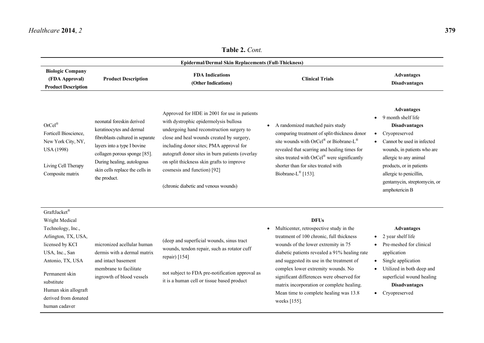**Table 2.** *Cont.*

|                                                                                                                                                                                                                                      |                                                                                                                                                                                                                                           | <b>Epidermal/Dermal Skin Replacements (Full-Thickness)</b>                                                                                                                                                                                                                                                                                                                                        |                                                                                                                                                                                                                                                                                                                                                                                                                                                |                                                                                                                                                                                                                                                                                               |
|--------------------------------------------------------------------------------------------------------------------------------------------------------------------------------------------------------------------------------------|-------------------------------------------------------------------------------------------------------------------------------------------------------------------------------------------------------------------------------------------|---------------------------------------------------------------------------------------------------------------------------------------------------------------------------------------------------------------------------------------------------------------------------------------------------------------------------------------------------------------------------------------------------|------------------------------------------------------------------------------------------------------------------------------------------------------------------------------------------------------------------------------------------------------------------------------------------------------------------------------------------------------------------------------------------------------------------------------------------------|-----------------------------------------------------------------------------------------------------------------------------------------------------------------------------------------------------------------------------------------------------------------------------------------------|
| <b>Biologic Company</b><br>(FDA Approval)<br><b>Product Description</b>                                                                                                                                                              | <b>Product Description</b>                                                                                                                                                                                                                | <b>FDA</b> Indications<br>(Other Indications)                                                                                                                                                                                                                                                                                                                                                     | <b>Clinical Trials</b>                                                                                                                                                                                                                                                                                                                                                                                                                         | <b>Advantages</b><br><b>Disadvantages</b>                                                                                                                                                                                                                                                     |
| OrCe <sup>1</sup><br>Forticell Bioscience,<br>New York City, NY,<br><b>USA</b> (1998)<br>Living Cell Therapy<br>Composite matrix                                                                                                     | neonatal foreskin derived<br>keratinocytes and dermal<br>fibroblasts cultured in separate<br>layers into a type I bovine<br>collagen porous sponge [85].<br>During healing, autologous<br>skin cells replace the cells in<br>the product. | Approved for HDE in 2001 for use in patients<br>with dystrophic epidermolysis bullosa<br>undergoing hand reconstruction surgery to<br>close and heal wounds created by surgery,<br>including donor sites; PMA approval for<br>autograft donor sites in burn patients (overlay<br>on split thickness skin grafts to improve<br>cosmesis and function) [92]<br>(chronic diabetic and venous wounds) | A randomized matched pairs study<br>$\bullet$<br>comparing treatment of split-thickness donor<br>site wounds with OrCel® or Biobrane-L®<br>revealed that scarring and healing times for<br>sites treated with OrCel® were significantly<br>shorter than for sites treated with<br>Biobrane-L® [153].                                                                                                                                           | <b>Advantages</b><br>9 month shelf life<br><b>Disadvantages</b><br>Cryopreserved<br>$\bullet$<br>Cannot be used in infected<br>wounds, in patients who are<br>allergic to any animal<br>products, or in patients<br>allergic to penicillin,<br>gentamycin, streptomycin, or<br>amphotericin B |
| GraftJacket®<br>Wright Medical<br>Technology, Inc.,<br>Arlington, TX, USA,<br>licensed by KCI<br>USA, Inc., San<br>Antonio, TX, USA<br>Permanent skin<br>substitute<br>Human skin allograft<br>derived from donated<br>human cadaver | micronized acellular human<br>dermis with a dermal matrix<br>and intact basement<br>membrane to facilitate<br>ingrowth of blood vessels                                                                                                   | (deep and superficial wounds, sinus tract<br>wounds, tendon repair, such as rotator cuff<br>repair) [154]<br>not subject to FDA pre-notification approval as<br>it is a human cell or tissue based product                                                                                                                                                                                        | <b>DFUs</b><br>Multicenter, retrospective study in the<br>$\bullet$<br>treatment of 100 chronic, full thickness<br>wounds of the lower extremity in 75<br>diabetic patients revealed a 91% healing rate<br>and suggested its use in the treatment of<br>complex lower extremity wounds. No<br>significant differences were observed for<br>matrix incorporation or complete healing.<br>Mean time to complete healing was 13.8<br>weeks [155]. | <b>Advantages</b><br>$\bullet$ 2 year shelf life<br>Pre-meshed for clinical<br>application<br>Single application<br>$\bullet$<br>Utilized in both deep and<br>$\bullet$<br>superficial wound healing<br><b>Disadvantages</b><br>• Cryopreserved                                               |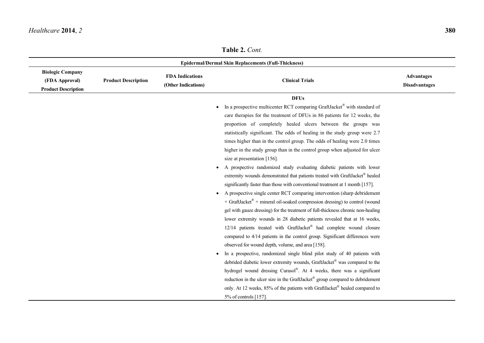**Table 2.** *Cont.*

|                                                                         | <b>Epidermal/Dermal Skin Replacements (Full-Thickness)</b> |                                               |                                                                                                                                                                                                                                                                                                                                                                                                                                                                                                                                                                                                                                                                                                                                                                                                                                                                                                                                                                                                                                                                                                                                                                                                                                                                                                                                                                                                                                                                                                                                                                                                                                                                                                                                  |                                           |  |
|-------------------------------------------------------------------------|------------------------------------------------------------|-----------------------------------------------|----------------------------------------------------------------------------------------------------------------------------------------------------------------------------------------------------------------------------------------------------------------------------------------------------------------------------------------------------------------------------------------------------------------------------------------------------------------------------------------------------------------------------------------------------------------------------------------------------------------------------------------------------------------------------------------------------------------------------------------------------------------------------------------------------------------------------------------------------------------------------------------------------------------------------------------------------------------------------------------------------------------------------------------------------------------------------------------------------------------------------------------------------------------------------------------------------------------------------------------------------------------------------------------------------------------------------------------------------------------------------------------------------------------------------------------------------------------------------------------------------------------------------------------------------------------------------------------------------------------------------------------------------------------------------------------------------------------------------------|-------------------------------------------|--|
| <b>Biologic Company</b><br>(FDA Approval)<br><b>Product Description</b> | <b>Product Description</b>                                 | <b>FDA</b> Indications<br>(Other Indications) | <b>Clinical Trials</b>                                                                                                                                                                                                                                                                                                                                                                                                                                                                                                                                                                                                                                                                                                                                                                                                                                                                                                                                                                                                                                                                                                                                                                                                                                                                                                                                                                                                                                                                                                                                                                                                                                                                                                           | <b>Advantages</b><br><b>Disadvantages</b> |  |
|                                                                         |                                                            |                                               | <b>DFUs</b><br>In a prospective multicenter RCT comparing GraftJacket® with standard of<br>care therapies for the treatment of DFUs in 86 patients for 12 weeks, the<br>proportion of completely healed ulcers between the groups was<br>statistically significant. The odds of healing in the study group were 2.7<br>times higher than in the control group. The odds of healing were 2.0 times<br>higher in the study group than in the control group when adjusted for ulcer<br>size at presentation [156].<br>A prospective randomized study evaluating diabetic patients with lower<br>extremity wounds demonstrated that patients treated with GraftJacket® healed<br>significantly faster than those with conventional treatment at 1 month [157].<br>A prospective single center RCT comparing intervention (sharp debridement<br>+ GraftJacket® + mineral oil-soaked compression dressing) to control (wound<br>gel with gauze dressing) for the treatment of full-thickness chronic non-healing<br>lower extremity wounds in 28 diabetic patients revealed that at 16 weeks,<br>12/14 patients treated with GraftJacket® had complete wound closure<br>compared to 4/14 patients in the control group. Significant differences were<br>observed for wound depth, volume, and area [158].<br>In a prospective, randomized single blind pilot study of 40 patients with<br>debrided diabetic lower extremity wounds, GraftJacket® was compared to the<br>hydrogel wound dressing Curasol®. At 4 weeks, there was a significant<br>reduction in the ulcer size in the GraftJacket® group compared to debridement<br>only. At 12 weeks, 85% of the patients with GraftJacket® healed compared to<br>5% of controls [157]. |                                           |  |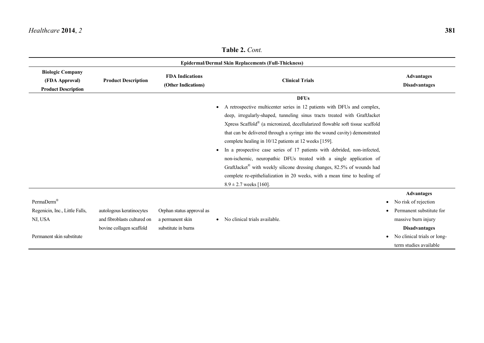|                                                                                                  |                                                                                     |                                                                      | <b>Epidermal/Dermal Skin Replacements (Full-Thickness)</b>                                                                                                                                                                                                                                                                                                                                                                                                                                                                                                                                                                                                                                                                                                   |                                                                                                                                                                                                         |
|--------------------------------------------------------------------------------------------------|-------------------------------------------------------------------------------------|----------------------------------------------------------------------|--------------------------------------------------------------------------------------------------------------------------------------------------------------------------------------------------------------------------------------------------------------------------------------------------------------------------------------------------------------------------------------------------------------------------------------------------------------------------------------------------------------------------------------------------------------------------------------------------------------------------------------------------------------------------------------------------------------------------------------------------------------|---------------------------------------------------------------------------------------------------------------------------------------------------------------------------------------------------------|
| <b>Biologic Company</b><br>(FDA Approval)<br><b>Product Description</b>                          | <b>Product Description</b>                                                          | <b>FDA Indications</b><br>(Other Indications)                        | <b>Clinical Trials</b>                                                                                                                                                                                                                                                                                                                                                                                                                                                                                                                                                                                                                                                                                                                                       | <b>Advantages</b><br><b>Disadvantages</b>                                                                                                                                                               |
|                                                                                                  |                                                                                     |                                                                      | <b>DFUs</b>                                                                                                                                                                                                                                                                                                                                                                                                                                                                                                                                                                                                                                                                                                                                                  |                                                                                                                                                                                                         |
|                                                                                                  |                                                                                     |                                                                      | A retrospective multicenter series in 12 patients with DFUs and complex,<br>$\bullet$<br>deep, irregularly-shaped, tunneling sinus tracts treated with GraftJacket<br>Xpress Scaffold <sup>®</sup> (a micronized, decellularized flowable soft tissue scaffold<br>that can be delivered through a syringe into the wound cavity) demonstrated<br>complete healing in 10/12 patients at 12 weeks [159].<br>In a prospective case series of 17 patients with debrided, non-infected,<br>$\bullet$<br>non-ischemic, neuropathic DFUs treated with a single application of<br>GraftJacket® with weekly silicone dressing changes, 82.5% of wounds had<br>complete re-epithelialization in 20 weeks, with a mean time to healing of<br>$8.9 \pm 2.7$ weeks [160]. |                                                                                                                                                                                                         |
| PermaDerm <sup>®</sup><br>Regenicin, Inc., Little Falls,<br>NJ, USA<br>Permanent skin substitute | autologous keratinocytes<br>and fibroblasts cultured on<br>bovine collagen scaffold | Orphan status approval as<br>a permanent skin<br>substitute in burns | No clinical trials available.                                                                                                                                                                                                                                                                                                                                                                                                                                                                                                                                                                                                                                                                                                                                | <b>Advantages</b><br>No risk of rejection<br>$\bullet$<br>Permanent substitute for<br>massive burn injury<br><b>Disadvantages</b><br>No clinical trials or long-<br>$\bullet$<br>term studies available |

**Table 2.** *Cont.*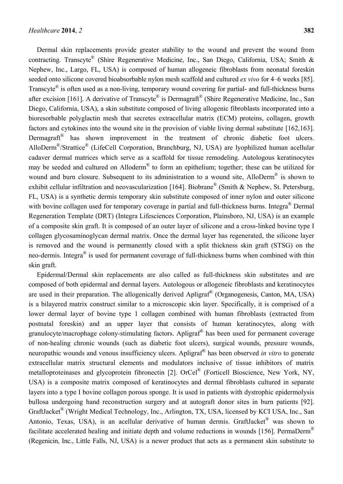Dermal skin replacements provide greater stability to the wound and prevent the wound from contracting. Transcyte® (Shire Regenerative Medicine, Inc., San Diego, California, USA; Smith & Nephew, Inc., Largo, FL, USA) is composed of human allogeneic fibroblasts from neonatal foreskin seeded onto silicone covered bioabsorbable nylon mesh scaffold and cultured *ex vivo* for 4–6 weeks [85]. Transcyte<sup>®</sup> is often used as a non-living, temporary wound covering for partial- and full-thickness burns after excision [161]. A derivative of Transcyte® is Dermagraft<sup>®</sup> (Shire Regenerative Medicine, Inc., San Diego, California, USA), a skin substitute composed of living allogenic fibroblasts incorporated into a bioresorbable polyglactin mesh that secretes extracellular matrix (ECM) proteins, collagen, growth factors and cytokines into the wound site in the provision of viable living dermal substitute [162,163]. Dermagraft<sup>®</sup> has shown improvement in the treatment of chronic diabetic foot ulcers. AlloDerm<sup>®</sup>/Strattice<sup>®</sup> (LifeCell Corporation, Branchburg, NJ, USA) are lyophilized human acellular cadaver dermal matrices which serve as a scaffold for tissue remodeling. Autologous keratinocytes may be seeded and cultured on Alloderm<sup>®</sup> to form an epithelium; together; these can be utilized for wound and burn closure. Subsequent to its administration to a wound site, AlloDerm<sup>®</sup> is shown to exhibit cellular infiltration and neovascularization [164]. Biobrane<sup>®</sup> (Smith & Nephew, St. Petersburg, FL, USA) is a synthetic dermis temporary skin substitute composed of inner nylon and outer silicone with bovine collagen used for temporary coverage in partial and full-thickness burns. Integra<sup>®</sup> Dermal Regeneration Template (DRT) (Integra Lifesciences Corporation, Plainsboro, NJ, USA) is an example of a composite skin graft. It is composed of an outer layer of silicone and a cross-linked bovine type I collagen glycosaminoglycan dermal matrix. Once the dermal layer has regenerated, the silicone layer is removed and the wound is permanently closed with a split thickness skin graft (STSG) on the neo-dermis. Integra<sup>®</sup> is used for permanent coverage of full-thickness burns when combined with thin skin graft.

Epidermal/Dermal skin replacements are also called as full-thickness skin substitutes and are composed of both epidermal and dermal layers. Autologous or allogeneic fibroblasts and keratinocytes are used in their preparation. The allogenically derived Apligraf® (Organogenesis, Canton, MA, USA) is a bilayered matrix construct similar to a microscopic skin layer. Specifically, it is comprised of a lower dermal layer of bovine type 1 collagen combined with human fibroblasts (extracted from postnatal foreskin) and an upper layer that consists of human keratinocytes, along with granulocyte/macrophage colony-stimulating factors. Apligraf® has been used for permanent coverage of non-healing chronic wounds (such as diabetic foot ulcers), surgical wounds, pressure wounds, neuropathic wounds and venous insufficiency ulcers. Apligraf® has been observed *in vitro* to generate extracellular matrix structural elements and modulators inclusive of tissue inhibitors of matrix metalloproteinases and glycoprotein fibronectin [2]. OrCel® (Forticell Bioscience, New York, NY, USA) is a composite matrix composed of keratinocytes and dermal fibroblasts cultured in separate layers into a type I bovine collagen porous sponge. It is used in patients with dystrophic epidermolysis bullosa undergoing hand reconstruction surgery and at autograft donor sites in burn patients [92]. GraftJacket® (Wright Medical Technology, Inc., Arlington, TX, USA, licensed by KCI USA, Inc., San Antonio, Texas, USA), is an acellular derivative of human dermis. GraftJacket® was shown to facilitate accelerated healing and initiate depth and volume reductions in wounds [156]. PermaDerm<sup>®</sup> (Regenicin, Inc., Little Falls, NJ, USA) is a newer product that acts as a permanent skin substitute to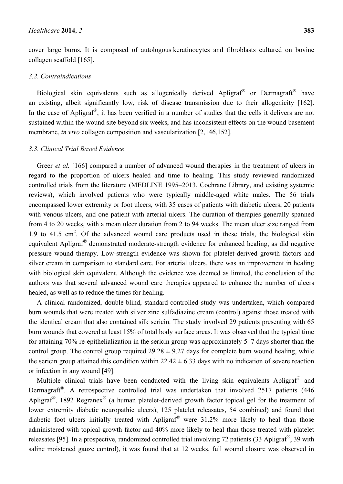cover large burns. It is composed of autologous keratinocytes and fibroblasts cultured on bovine collagen scaffold [165].

#### *3.2. Contraindications*

Biological skin equivalents such as allogenically derived Apligraf® or Dermagraft<sup>®</sup> have an existing, albeit significantly low, risk of disease transmission due to their allogenicity [162]. In the case of Apligraf<sup>®</sup>, it has been verified in a number of studies that the cells it delivers are not sustained within the wound site beyond six weeks, and has inconsistent effects on the wound basement membrane, *in vivo* collagen composition and vascularization [2,146,152].

## *3.3. Clinical Trial Based Evidence*

Greer *et al.* [166] compared a number of advanced wound therapies in the treatment of ulcers in regard to the proportion of ulcers healed and time to healing. This study reviewed randomized controlled trials from the literature (MEDLINE 1995–2013, Cochrane Library, and existing systemic reviews), which involved patients who were typically middle-aged white males. The 56 trials encompassed lower extremity or foot ulcers, with 35 cases of patients with diabetic ulcers, 20 patients with venous ulcers, and one patient with arterial ulcers. The duration of therapies generally spanned from 4 to 20 weeks, with a mean ulcer duration from 2 to 94 weeks. The mean ulcer size ranged from 1.9 to  $41.5 \text{ cm}^2$ . Of the advanced wound care products used in these trials, the biological skin equivalent Apligraf® demonstrated moderate-strength evidence for enhanced healing, as did negative pressure wound therapy. Low-strength evidence was shown for platelet-derived growth factors and silver cream in comparison to standard care. For arterial ulcers, there was an improvement in healing with biological skin equivalent. Although the evidence was deemed as limited, the conclusion of the authors was that several advanced wound care therapies appeared to enhance the number of ulcers healed, as well as to reduce the times for healing.

A clinical randomized, double-blind, standard-controlled study was undertaken, which compared burn wounds that were treated with silver zinc sulfadiazine cream (control) against those treated with the identical cream that also contained silk sericin. The study involved 29 patients presenting with 65 burn wounds that covered at least 15% of total body surface areas. It was observed that the typical time for attaining 70% re-epithelialization in the sericin group was approximately 5–7 days shorter than the control group. The control group required  $29.28 \pm 9.27$  days for complete burn wound healing, while the sericin group attained this condition within  $22.42 \pm 6.33$  days with no indication of severe reaction or infection in any wound [49].

Multiple clinical trials have been conducted with the living skin equivalents Apligraf<sup>®</sup> and Dermagraft<sup>®</sup>. A retrospective controlled trial was undertaken that involved 2517 patients (446 Apligraf<sup>®</sup>, 1892 Regranex<sup>®</sup> (a human platelet-derived growth factor topical gel for the treatment of lower extremity diabetic neuropathic ulcers), 125 platelet releasates, 54 combined) and found that diabetic foot ulcers initially treated with Apligraf® were 31.2% more likely to heal than those administered with topical growth factor and 40% more likely to heal than those treated with platelet releasates [95]. In a prospective, randomized controlled trial involving 72 patients (33 Apligraf<sup>®</sup>, 39 with saline moistened gauze control), it was found that at 12 weeks, full wound closure was observed in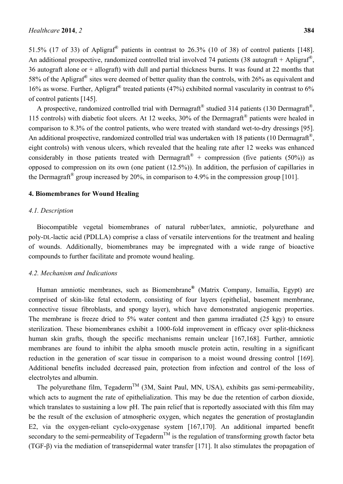51.5% (17 of 33) of Apligraf<sup>®</sup> patients in contrast to 26.3% (10 of 38) of control patients [148]. An additional prospective, randomized controlled trial involved 74 patients (38 autograft + Apligraf®, 36 autograft alone or + allograft) with dull and partial thickness burns. It was found at 22 months that 58% of the Apligraf<sup>®</sup> sites were deemed of better quality than the controls, with 26% as equivalent and 16% as worse. Further, Apligraf<sup>®</sup> treated patients (47%) exhibited normal vascularity in contrast to 6% of control patients [145].

A prospective, randomized controlled trial with Dermagraft® studied 314 patients (130 Dermagraft®, 115 controls) with diabetic foot ulcers. At 12 weeks, 30% of the Dermagraft® patients were healed in comparison to 8.3% of the control patients, who were treated with standard wet-to-dry dressings [95]. An additional prospective, randomized controlled trial was undertaken with 18 patients (10 Dermagraft®, eight controls) with venous ulcers, which revealed that the healing rate after 12 weeks was enhanced considerably in those patients treated with Dermagraft<sup>®</sup> + compression (five patients (50%)) as opposed to compression on its own (one patient (12.5%)). In addition, the perfusion of capillaries in the Dermagraft<sup>®</sup> group increased by 20%, in comparison to 4.9% in the compression group [101].

#### **4. Biomembranes for Wound Healing**

#### *4.1. Description*

Biocompatible vegetal biomembranes of natural rubber/latex, amniotic, polyurethane and poly-DL-lactic acid (PDLLA) comprise a class of versatile interventions for the treatment and healing of wounds. Additionally, biomembranes may be impregnated with a wide range of bioactive compounds to further facilitate and promote wound healing.

#### *4.2. Mechanism and Indications*

Human amniotic membranes, such as Biomembrane**®** (Matrix Company, Ismailia, Egypt) are comprised of skin-like fetal ectoderm, consisting of four layers (epithelial, basement membrane, connective tissue fibroblasts, and spongy layer), which have demonstrated angiogenic properties. The membrane is freeze dried to 5% water content and then gamma irradiated (25 kgy) to ensure sterilization. These biomembranes exhibit a 1000-fold improvement in efficacy over split-thickness human skin grafts, though the specific mechanisms remain unclear [167,168]. Further, amniotic membranes are found to inhibit the alpha smooth muscle protein actin, resulting in a significant reduction in the generation of scar tissue in comparison to a moist wound dressing control [169]. Additional benefits included decreased pain, protection from infection and control of the loss of electrolytes and albumin.

The polyurethane film, Tegaderm<sup>TM</sup> (3M, Saint Paul, MN, USA), exhibits gas semi-permeability, which acts to augment the rate of epithelialization. This may be due the retention of carbon dioxide, which translates to sustaining a low pH. The pain relief that is reportedly associated with this film may be the result of the exclusion of atmospheric oxygen, which negates the generation of prostaglandin E2, via the oxygen-reliant cyclo-oxygenase system [167,170]. An additional imparted benefit secondary to the semi-permeability of Tegaderm<sup>TM</sup> is the regulation of transforming growth factor beta (TGF-β) via the mediation of transepidermal water transfer [171]. It also stimulates the propagation of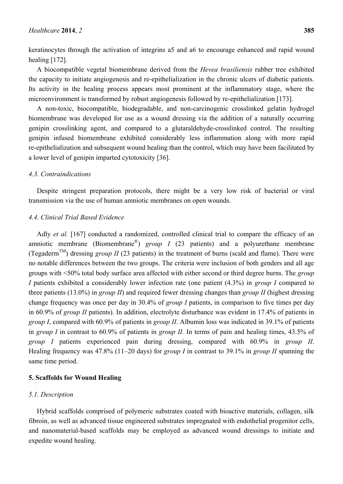keratinocytes through the activation of integrins a5 and a6 to encourage enhanced and rapid wound healing [172].

A biocompatible vegetal biomembrane derived from the *Hevea brasiliensis* rubber tree exhibited the capacity to initiate angiogenesis and re-epithelialization in the chronic ulcers of diabetic patients. Its activity in the healing process appears most prominent at the inflammatory stage, where the microenvironment is transformed by robust angiogenesis followed by re-epithelialization [173].

A non-toxic, biocompatible, biodegradable, and non-carcinogenic crosslinked gelatin hydrogel biomembrane was developed for use as a wound dressing via the addition of a naturally occurring genipin crosslinking agent, and compared to a glutaraldehyde-crosslinked control. The resulting genipin infused biomembrane exhibited considerably less inflammation along with more rapid re-epithelialization and subsequent wound healing than the control, which may have been facilitated by a lower level of genipin imparted cytotoxicity [36].

## *4.3. Contraindications*

Despite stringent preparation protocols, there might be a very low risk of bacterial or viral transmission via the use of human amniotic membranes on open wounds.

### *4.4. Clinical Trial Based Evidence*

Adly *et al.* [167] conducted a randomized, controlled clinical trial to compare the efficacy of an amniotic membrane (Biomembrane<sup>®</sup>) *group I* (23 patients) and a polyurethane membrane (Tegaderm<sup>TM</sup>) dressing *group II* (23 patients) in the treatment of burns (scald and flame). There were no notable differences between the two groups. The criteria were inclusion of both genders and all age groups with <50% total body surface area affected with either second or third degree burns. The *group I* patients exhibited a considerably lower infection rate (one patient (4.3%) in *group I* compared to three patients (13.0%) in *group II*) and required fewer dressing changes than *group II* (highest dressing change frequency was once per day in 30.4% of *group I* patients, in comparison to five times per day in 60.9% of *group II* patients). In addition, electrolyte disturbance was evident in 17.4% of patients in *group I*, compared with 60.9% of patients in *group II*. Albumin loss was indicated in 39.1% of patients in *group I* in contrast to 60.9% of patients in *group II.* In terms of pain and healing times, 43.5% of *group I* patients experienced pain during dressing, compared with 60.9% in *group II*. Healing frequency was 47.8% (11–20 days) for *group I* in contrast to 39.1% in *group II* spanning the same time period.

### **5. Scaffolds for Wound Healing**

### *5.1. Description*

Hybrid scaffolds comprised of polymeric substrates coated with bioactive materials, collagen, silk fibroin, as well as advanced tissue engineered substrates impregnated with endothelial progenitor cells, and nanomaterial-based scaffolds may be employed as advanced wound dressings to initiate and expedite wound healing.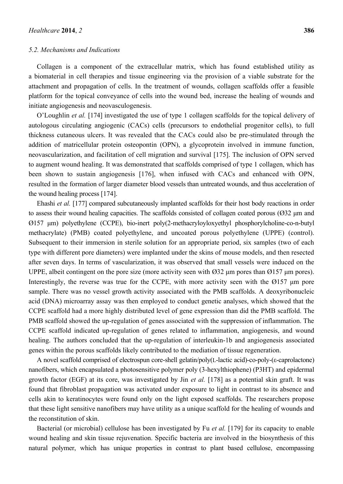#### *5.2. Mechanisms and Indications*

Collagen is a component of the extracellular matrix, which has found established utility as a biomaterial in cell therapies and tissue engineering via the provision of a viable substrate for the attachment and propagation of cells. In the treatment of wounds, collagen scaffolds offer a feasible platform for the topical conveyance of cells into the wound bed, increase the healing of wounds and initiate angiogenesis and neovasculogenesis.

O'Loughlin *et al.* [174] investigated the use of type 1 collagen scaffolds for the topical delivery of autologous circulating angiogenic (CACs) cells (precursors to endothelial progenitor cells), to full thickness cutaneous ulcers. It was revealed that the CACs could also be pre-stimulated through the addition of matricellular protein osteopontin (OPN), a glycoprotein involved in immune function, neovascularization, and facilitation of cell migration and survival [175]. The inclusion of OPN served to augment wound healing. It was demonstrated that scaffolds comprised of type 1 collagen, which has been shown to sustain angiogenesis [176], when infused with CACs and enhanced with OPN, resulted in the formation of larger diameter blood vessels than untreated wounds, and thus acceleration of the wound healing process [174].

Ehashi *et al.* [177] compared subcutaneously implanted scaffolds for their host body reactions in order to assess their wound healing capacities. The scaffolds consisted of collagen coated porous (Ø32 μm and Ø157 μm) polyethylene (CCPE), bio-inert poly(2-methacryloyloxyethyl phosphorylcholine-co-n-butyl methacrylate) (PMB) coated polyethylene, and uncoated porous polyethylene (UPPE) (control). Subsequent to their immersion in sterile solution for an appropriate period, six samples (two of each type with different pore diameters) were implanted under the skins of mouse models, and then resected after seven days. In terms of vascularization, it was observed that small vessels were induced on the UPPE, albeit contingent on the pore size (more activity seen with Ø32 μm pores than Ø157 μm pores). Interestingly, the reverse was true for the CCPE, with more activity seen with the Ø157 μm pore sample. There was no vessel growth activity associated with the PMB scaffolds. A deoxyribonucleic acid (DNA) microarray assay was then employed to conduct genetic analyses, which showed that the CCPE scaffold had a more highly distributed level of gene expression than did the PMB scaffold. The PMB scaffold showed the up-regulation of genes associated with the suppression of inflammation. The CCPE scaffold indicated up-regulation of genes related to inflammation, angiogenesis, and wound healing. The authors concluded that the up-regulation of interleukin-1b and angiogenesis associated genes within the porous scaffolds likely contributed to the mediation of tissue regeneration.

A novel scaffold comprised of electrospun core-shell gelatin/poly(L-lactic acid)-co-poly-(ε-caprolactone) nanofibers, which encapsulated a photosensitive polymer poly (3-hexylthiophene) (P3HT) and epidermal growth factor (EGF) at its core, was investigated by Jin *et al.* [178] as a potential skin graft. It was found that fibroblast propagation was activated under exposure to light in contrast to its absence and cells akin to keratinocytes were found only on the light exposed scaffolds. The researchers propose that these light sensitive nanofibers may have utility as a unique scaffold for the healing of wounds and the reconstitution of skin.

Bacterial (or microbial) cellulose has been investigated by Fu *et al.* [179] for its capacity to enable wound healing and skin tissue rejuvenation. Specific bacteria are involved in the biosynthesis of this natural polymer, which has unique properties in contrast to plant based cellulose, encompassing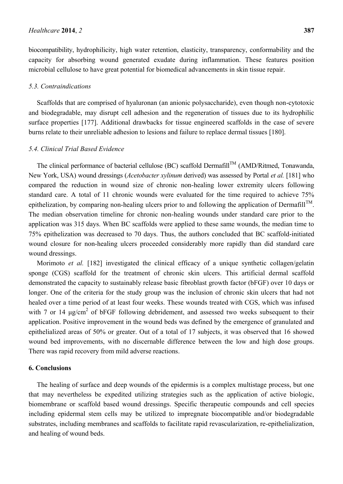biocompatibility, hydrophilicity, high water retention, elasticity, transparency, conformability and the capacity for absorbing wound generated exudate during inflammation. These features position microbial cellulose to have great potential for biomedical advancements in skin tissue repair.

## *5.3. Contraindications*

Scaffolds that are comprised of hyaluronan (an anionic polysaccharide), even though non-cytotoxic and biodegradable, may disrupt cell adhesion and the regeneration of tissues due to its hydrophilic surface properties [177]. Additional drawbacks for tissue engineered scaffolds in the case of severe burns relate to their unreliable adhesion to lesions and failure to replace dermal tissues [180].

## *5.4. Clinical Trial Based Evidence*

The clinical performance of bacterial cellulose (BC) scaffold Dermafill™ (AMD/Ritmed, Tonawanda, New York, USA) wound dressings (*Acetobacter xylinum* derived) was assessed by Portal *et al.* [181] who compared the reduction in wound size of chronic non-healing lower extremity ulcers following standard care. A total of 11 chronic wounds were evaluated for the time required to achieve 75% epithelization, by comparing non-healing ulcers prior to and following the application of Dermafill<sup>TM</sup>. The median observation timeline for chronic non-healing wounds under standard care prior to the application was 315 days. When BC scaffolds were applied to these same wounds, the median time to 75% epithelization was decreased to 70 days. Thus, the authors concluded that BC scaffold-initiated wound closure for non-healing ulcers proceeded considerably more rapidly than did standard care wound dressings.

Morimoto *et al.* [182] investigated the clinical efficacy of a unique synthetic collagen/gelatin sponge (CGS) scaffold for the treatment of chronic skin ulcers. This artificial dermal scaffold demonstrated the capacity to sustainably release basic fibroblast growth factor (bFGF) over 10 days or longer. One of the criteria for the study group was the inclusion of chronic skin ulcers that had not healed over a time period of at least four weeks. These wounds treated with CGS, which was infused with 7 or 14  $\mu$ g/cm<sup>2</sup> of bFGF following debridement, and assessed two weeks subsequent to their application. Positive improvement in the wound beds was defined by the emergence of granulated and epithelialized areas of 50% or greater. Out of a total of 17 subjects, it was observed that 16 showed wound bed improvements, with no discernable difference between the low and high dose groups. There was rapid recovery from mild adverse reactions.

#### **6. Conclusions**

The healing of surface and deep wounds of the epidermis is a complex multistage process, but one that may nevertheless be expedited utilizing strategies such as the application of active biologic, biomembrane or scaffold based wound dressings. Specific therapeutic compounds and cell species including epidermal stem cells may be utilized to impregnate biocompatible and/or biodegradable substrates, including membranes and scaffolds to facilitate rapid revascularization, re-epithelialization, and healing of wound beds.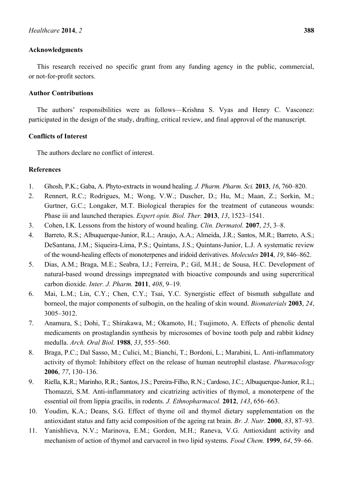#### **Acknowledgments**

This research received no specific grant from any funding agency in the public, commercial, or not-for-profit sectors.

### **Author Contributions**

The authors' responsibilities were as follows—Krishna S. Vyas and Henry C. Vasconez: participated in the design of the study, drafting, critical review, and final approval of the manuscript.

## **Conflicts of Interest**

The authors declare no conflict of interest.

#### **References**

- 1. Ghosh, P.K.; Gaba, A. Phyto-extracts in wound healing. *J. Pharm. Pharm. Sci.* **2013**, *16*, 760–820.
- 2. Rennert, R.C.; Rodrigues, M.; Wong, V.W.; Duscher, D.; Hu, M.; Maan, Z.; Sorkin, M.; Gurtner, G.C.; Longaker, M.T. Biological therapies for the treatment of cutaneous wounds: Phase iii and launched therapies. *Expert opin. Biol. Ther.* **2013**, *13*, 1523–1541.
- 3. Cohen, I.K. Lessons from the history of wound healing. *Clin. Dermatol.* **2007**, *25*, 3–8.
- 4. Barreto, R.S.; Albuquerque-Junior, R.L.; Araujo, A.A.; Almeida, J.R.; Santos, M.R.; Barreto, A.S.; DeSantana, J.M.; Siqueira-Lima, P.S.; Quintans, J.S.; Quintans-Junior, L.J. A systematic review of the wound-healing effects of monoterpenes and iridoid derivatives. *Molecules* **2014**, *19*, 846–862.
- 5. Dias, A.M.; Braga, M.E.; Seabra, I.J.; Ferreira, P.; Gil, M.H.; de Sousa, H.C. Development of natural-based wound dressings impregnated with bioactive compounds and using supercritical carbon dioxide. *Inter. J. Pharm.* **2011**, *408*, 9–19.
- 6. Mai, L.M.; Lin, C.Y.; Chen, C.Y.; Tsai, Y.C. Synergistic effect of bismuth subgallate and borneol, the major components of sulbogin, on the healing of skin wound. *Biomaterials* **2003**, *24*, 3005–3012.
- 7. Anamura, S.; Dohi, T.; Shirakawa, M.; Okamoto, H.; Tsujimoto, A. Effects of phenolic dental medicaments on prostaglandin synthesis by microsomes of bovine tooth pulp and rabbit kidney medulla. *Arch. Oral Biol.* **1988**, *33*, 555–560.
- 8. Braga, P.C.; Dal Sasso, M.; Culici, M.; Bianchi, T.; Bordoni, L.; Marabini, L. Anti-inflammatory activity of thymol: Inhibitory effect on the release of human neutrophil elastase. *Pharmacology* **2006**, *77*, 130–136.
- 9. Riella, K.R.; Marinho, R.R.; Santos, J.S.; Pereira-Filho, R.N.; Cardoso, J.C.; Albuquerque-Junior, R.L.; Thomazzi, S.M. Anti-inflammatory and cicatrizing activities of thymol, a monoterpene of the essential oil from lippia gracilis, in rodents. *J. Ethnopharmacol.* **2012**, *143*, 656–663.
- 10. Youdim, K.A.; Deans, S.G. Effect of thyme oil and thymol dietary supplementation on the antioxidant status and fatty acid composition of the ageing rat brain. *Br. J. Nutr.* **2000**, *83*, 87–93.
- 11. Yanishlieva, N.V.; Marinova, E.M.; Gordon, M.H.; Raneva, V.G. Antioxidant activity and mechanism of action of thymol and carvacrol in two lipid systems. *Food Chem.* **1999**, *64*, 59–66.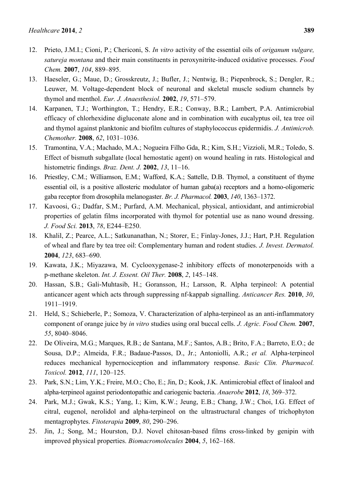- 12. Prieto, J.M.I.; Cioni, P.; Chericoni, S. *In vitro* activity of the essential oils of *origanum vulgare, satureja montana* and their main constituents in peroxynitrite-induced oxidative processes. *Food Chem.* **2007**, *104*, 889–895.
- 13. Haeseler, G.; Maue, D.; Grosskreutz, J.; Bufler, J.; Nentwig, B.; Piepenbrock, S.; Dengler, R.; Leuwer, M. Voltage-dependent block of neuronal and skeletal muscle sodium channels by thymol and menthol. *Eur. J. Anaesthesiol.* **2002**, *19*, 571–579.
- 14. Karpanen, T.J.; Worthington, T.; Hendry, E.R.; Conway, B.R.; Lambert, P.A. Antimicrobial efficacy of chlorhexidine digluconate alone and in combination with eucalyptus oil, tea tree oil and thymol against planktonic and biofilm cultures of staphylococcus epidermidis. *J. Antimicrob. Chemother.* **2008**, *62*, 1031–1036.
- 15. Tramontina, V.A.; Machado, M.A.; Nogueira Filho Gda, R.; Kim, S.H.; Vizzioli, M.R.; Toledo, S. Effect of bismuth subgallate (local hemostatic agent) on wound healing in rats. Histological and histometric findings. *Braz. Dent. J.* **2002**, *13*, 11–16.
- 16. Priestley, C.M.; Williamson, E.M.; Wafford, K.A.; Sattelle, D.B. Thymol, a constituent of thyme essential oil, is a positive allosteric modulator of human gaba(a) receptors and a homo-oligomeric gaba receptor from drosophila melanogaster. *Br. J. Pharmacol.* **2003**, *140*, 1363–1372.
- 17. Kavoosi, G.; Dadfar, S.M.; Purfard, A.M. Mechanical, physical, antioxidant, and antimicrobial properties of gelatin films incorporated with thymol for potential use as nano wound dressing. *J. Food Sci.* **2013**, *78*, E244–E250.
- 18. Khalil, Z.; Pearce, A.L.; Satkunanathan, N.; Storer, E.; Finlay-Jones, J.J.; Hart, P.H. Regulation of wheal and flare by tea tree oil: Complementary human and rodent studies. *J. Invest. Dermatol.* **2004**, *123*, 683–690.
- 19. Kawata, J.K.; Miyazawa, M. Cyclooxygenase-2 inhibitory effects of monoterpenoids with a p-methane skeleton. *Int. J. Essent. Oil Ther.* **2008**, *2*, 145–148.
- 20. Hassan, S.B.; Gali-Muhtasib, H.; Goransson, H.; Larsson, R. Alpha terpineol: A potential anticancer agent which acts through suppressing nf-kappab signalling. *Anticancer Res.* **2010**, *30*, 1911–1919.
- 21. Held, S.; Schieberle, P.; Somoza, V. Characterization of alpha-terpineol as an anti-inflammatory component of orange juice by *in vitro* studies using oral buccal cells. *J. Agric. Food Chem.* **2007**, *55*, 8040–8046.
- 22. De Oliveira, M.G.; Marques, R.B.; de Santana, M.F.; Santos, A.B.; Brito, F.A.; Barreto, E.O.; de Sousa, D.P.; Almeida, F.R.; Badaue-Passos, D., Jr.; Antoniolli, A.R.; *et al.* Alpha-terpineol reduces mechanical hypernociception and inflammatory response. *Basic Clin. Pharmacol. Toxicol.* **2012**, *111*, 120–125.
- 23. Park, S.N.; Lim, Y.K.; Freire, M.O.; Cho, E.; Jin, D.; Kook, J.K. Antimicrobial effect of linalool and alpha-terpineol against periodontopathic and cariogenic bacteria. *Anaerobe* **2012**, *18*, 369–372.
- 24. Park, M.J.; Gwak, K.S.; Yang, I.; Kim, K.W.; Jeung, E.B.; Chang, J.W.; Choi, I.G. Effect of citral, eugenol, nerolidol and alpha-terpineol on the ultrastructural changes of trichophyton mentagrophytes. *Fitoterapia* **2009**, *80*, 290–296.
- 25. Jin, J.; Song, M.; Hourston, D.J. Novel chitosan-based films cross-linked by genipin with improved physical properties. *Biomacromolecules* **2004**, *5*, 162–168.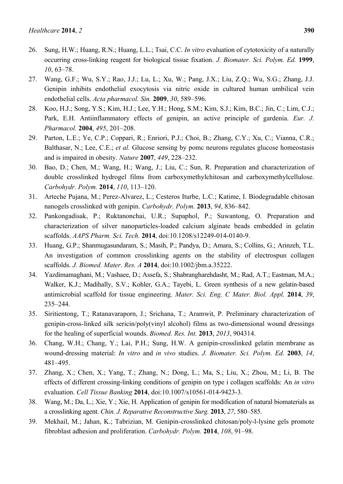- 26. Sung, H.W.; Huang, R.N.; Huang, L.L.; Tsai, C.C. *In vitro* evaluation of cytotoxicity of a naturally occurring cross-linking reagent for biological tissue fixation. *J. Biomater. Sci. Polym. Ed.* **1999**, *10*, 63–78.
- 27. Wang, G.F.; Wu, S.Y.; Rao, J.J.; Lu, L.; Xu, W.; Pang, J.X.; Liu, Z.Q.; Wu, S.G.; Zhang, J.J. Genipin inhibits endothelial exocytosis via nitric oxide in cultured human umbilical vein endothelial cells. *Acta pharmacol. Sin.* **2009**, *30*, 589–596.
- 28. Koo, H.J.; Song, Y.S.; Kim, H.J.; Lee, Y.H.; Hong, S.M.; Kim, S.J.; Kim, B.C.; Jin, C.; Lim, C.J.; Park, E.H. Antiinflammatory effects of genipin, an active principle of gardenia. *Eur. J. Pharmacol.* **2004**, *495*, 201–208.
- 29. Parton, L.E.; Ye, C.P.; Coppari, R.; Enriori, P.J.; Choi, B.; Zhang, C.Y.; Xu, C.; Vianna, C.R.; Balthasar, N.; Lee, C.E.; *et al.* Glucose sensing by pomc neurons regulates glucose homeostasis and is impaired in obesity. *Nature* **2007**, *449*, 228–232.
- 30. Bao, D.; Chen, M.; Wang, H.; Wang, J.; Liu, C.; Sun, R. Preparation and characterization of double crosslinked hydrogel films from carboxymethylchitosan and carboxymethylcellulose. *Carbohydr. Polym.* **2014**, *110*, 113–120.
- 31. Arteche Pujana, M.; Perez-Alvarez, L.; Cesteros Iturbe, L.C.; Katime, I. Biodegradable chitosan nanogels crosslinked with genipin. *Carbohydr. Polym.* **2013**, *94*, 836–842.
- 32. Pankongadisak, P.; Ruktanonchai, U.R.; Supaphol, P.; Suwantong, O. Preparation and characterization of silver nanoparticles-loaded calcium alginate beads embedded in gelatin scaffolds. *AAPS Pharm. Sci. Tech.* **2014**, doi:10.1208/s12249-014-0140-9.
- 33. Huang, G.P.; Shanmugasundaram, S.; Masih, P.; Pandya, D.; Amara, S.; Collins, G.; Arinzeh, T.L. An investigation of common crosslinking agents on the stability of electrospun collagen scaffolds. *J. Biomed. Mater. Res. A* **2014**, doi:10.1002/jbm.a.35222.
- 34. Yazdimamaghani, M.; Vashaee, D.; Assefa, S.; Shabrangharehdasht, M.; Rad, A.T.; Eastman, M.A.; Walker, K.J.; Madihally, S.V.; Kohler, G.A.; Tayebi, L. Green synthesis of a new gelatin-based antimicrobial scaffold for tissue engineering. *Mater. Sci. Eng. C Mater. Biol. Appl.* **2014**, *39*, 235–244.
- 35. Siritientong, T.; Ratanavaraporn, J.; Srichana, T.; Aramwit, P. Preliminary characterization of genipin-cross-linked silk sericin/poly(vinyl alcohol) films as two-dimensional wound dressings for the healing of superficial wounds. *Biomed. Res. Int.* **2013**, *2013*, 904314.
- 36. Chang, W.H.; Chang, Y.; Lai, P.H.; Sung, H.W. A genipin-crosslinked gelatin membrane as wound-dressing material: *In vitro* and *in vivo* studies. *J. Biomater. Sci. Polym. Ed.* **2003**, *14*, 481–495.
- 37. Zhang, X.; Chen, X.; Yang, T.; Zhang, N.; Dong, L.; Ma, S.; Liu, X.; Zhou, M.; Li, B. The effects of different crossing-linking conditions of genipin on type i collagen scaffolds: An *in vitro* evaluation. *Cell Tissue Banking* **2014**, doi:10.1007/s10561-014-9423-3.
- 38. Wang, M.; Da, L.; Xie, Y.; Xie, H. Application of genipin for modification of natural biomaterials as a crosslinking agent. *Chin. J. Reparative Reconstructive Surg.* **2013**, *27*, 580–585.
- 39. Mekhail, M.; Jahan, K.; Tabrizian, M. Genipin-crosslinked chitosan/poly-l-lysine gels promote fibroblast adhesion and proliferation. *Carbohydr. Polym.* **2014**, *108*, 91–98.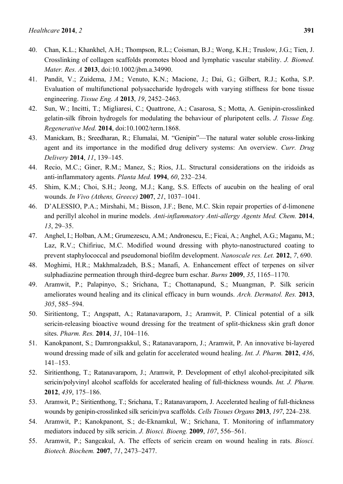- 40. Chan, K.L.; Khankhel, A.H.; Thompson, R.L.; Coisman, B.J.; Wong, K.H.; Truslow, J.G.; Tien, J. Crosslinking of collagen scaffolds promotes blood and lymphatic vascular stability. *J. Biomed. Mater. Res. A* **2013**, doi:10.1002/jbm.a.34990.
- 41. Pandit, V.; Zuidema, J.M.; Venuto, K.N.; Macione, J.; Dai, G.; Gilbert, R.J.; Kotha, S.P. Evaluation of multifunctional polysaccharide hydrogels with varying stiffness for bone tissue engineering. *Tissue Eng. A* **2013**, *19*, 2452–2463.
- 42. Sun, W.; Incitti, T.; Migliaresi, C.; Quattrone, A.; Casarosa, S.; Motta, A. Genipin-crosslinked gelatin-silk fibroin hydrogels for modulating the behaviour of pluripotent cells. *J. Tissue Eng. Regenerative Med.* **2014**, doi:10.1002/term.1868.
- 43. Manickam, B.; Sreedharan, R.; Elumalai, M. "Genipin"—The natural water soluble cross-linking agent and its importance in the modified drug delivery systems: An overview. *Curr. Drug Delivery* **2014**, *11*, 139–145.
- 44. Recio, M.C.; Giner, R.M.; Manez, S.; Rios, J.L. Structural considerations on the iridoids as anti-inflammatory agents. *Planta Med.* **1994**, *60*, 232–234.
- 45. Shim, K.M.; Choi, S.H.; Jeong, M.J.; Kang, S.S. Effects of aucubin on the healing of oral wounds. *In Vivo (Athens, Greece)* **2007**, *21*, 1037–1041.
- 46. D'ALESSIO, P.A.; Mirshahi, M.; Bisson, J.F.; Bene, M.C. Skin repair properties of d-limonene and perillyl alcohol in murine models. *Anti-inflammatory Anti-allergy Agents Med. Chem.* **2014**, *13*, 29–35.
- 47. Anghel, I.; Holban, A.M.; Grumezescu, A.M.; Andronescu, E.; Ficai, A.; Anghel, A.G.; Maganu, M.; Laz, R.V.; Chifiriuc, M.C. Modified wound dressing with phyto-nanostructured coating to prevent staphylococcal and pseudomonal biofilm development. *Nanoscale res. Let.* **2012**, *7*, 690.
- 48. Moghimi, H.R.; Makhmalzadeh, B.S.; Manafi, A. Enhancement effect of terpenes on silver sulphadiazine permeation through third-degree burn eschar. *Burns* **2009**, *35*, 1165–1170.
- 49. Aramwit, P.; Palapinyo, S.; Srichana, T.; Chottanapund, S.; Muangman, P. Silk sericin ameliorates wound healing and its clinical efficacy in burn wounds. *Arch. Dermatol. Res.* **2013**, *305*, 585–594.
- 50. Siritientong, T.; Angspatt, A.; Ratanavaraporn, J.; Aramwit, P. Clinical potential of a silk sericin-releasing bioactive wound dressing for the treatment of split-thickness skin graft donor sites. *Pharm. Res.* **2014**, *31*, 104–116.
- 51. Kanokpanont, S.; Damrongsakkul, S.; Ratanavaraporn, J.; Aramwit, P. An innovative bi-layered wound dressing made of silk and gelatin for accelerated wound healing. *Int. J. Pharm.* **2012**, *436*, 141–153.
- 52. Siritienthong, T.; Ratanavaraporn, J.; Aramwit, P. Development of ethyl alcohol-precipitated silk sericin/polyvinyl alcohol scaffolds for accelerated healing of full-thickness wounds. *Int. J. Pharm.* **2012**, *439*, 175–186.
- 53. Aramwit, P.; Siritienthong, T.; Srichana, T.; Ratanavaraporn, J. Accelerated healing of full-thickness wounds by genipin-crosslinked silk sericin/pva scaffolds. *Cells Tissues Organs* **2013**, *197*, 224–238.
- 54. Aramwit, P.; Kanokpanont, S.; de-Eknamkul, W.; Srichana, T. Monitoring of inflammatory mediators induced by silk sericin. *J. Biosci. Bioeng.* **2009**, *107*, 556–561.
- 55. Aramwit, P.; Sangcakul, A. The effects of sericin cream on wound healing in rats. *Biosci. Biotech. Biochem.* **2007**, *71*, 2473–2477.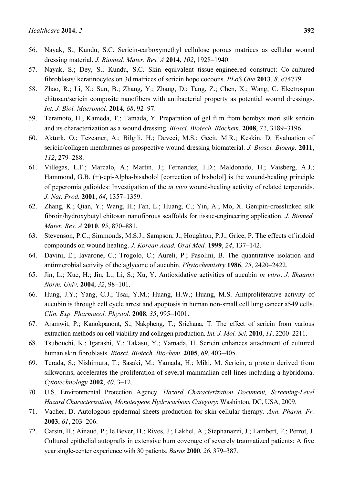- 56. Nayak, S.; Kundu, S.C. Sericin-carboxymethyl cellulose porous matrices as cellular wound dressing material. *J. Biomed. Mater. Res. A* **2014**, *102*, 1928–1940.
- 57. Nayak, S.; Dey, S.; Kundu, S.C. Skin equivalent tissue-engineered construct: Co-cultured fibroblasts/ keratinocytes on 3d matrices of sericin hope cocoons. *PLoS One* **2013**, *8*, e74779.
- 58. Zhao, R.; Li, X.; Sun, B.; Zhang, Y.; Zhang, D.; Tang, Z.; Chen, X.; Wang, C. Electrospun chitosan/sericin composite nanofibers with antibacterial property as potential wound dressings. *Int. J. Biol. Macromol.* **2014**, *68*, 92–97.
- 59. Teramoto, H.; Kameda, T.; Tamada, Y. Preparation of gel film from bombyx mori silk sericin and its characterization as a wound dressing. *Biosci. Biotech. Biochem.* **2008**, *72*, 3189–3196.
- 60. Akturk, O.; Tezcaner, A.; Bilgili, H.; Deveci, M.S.; Gecit, M.R.; Keskin, D. Evaluation of sericin/collagen membranes as prospective wound dressing biomaterial. *J. Biosci. Bioeng.* **2011**, *112*, 279–288.
- 61. Villegas, L.F.; Marcalo, A.; Martin, J.; Fernandez, I.D.; Maldonado, H.; Vaisberg, A.J.; Hammond, G.B. (+)-epi-Alpha-bisabolol [correction of bisbolol] is the wound-healing principle of peperomia galioides: Investigation of the *in vivo* wound-healing activity of related terpenoids. *J. Nat. Prod.* **2001**, *64*, 1357–1359.
- 62. Zhang, K.; Qian, Y.; Wang, H.; Fan, L.; Huang, C.; Yin, A.; Mo, X. Genipin-crosslinked silk fibroin/hydroxybutyl chitosan nanofibrous scaffolds for tissue-engineering application. *J. Biomed. Mater. Res. A* **2010**, *95*, 870–881.
- 63. Stevenson, P.C.; Simmonds, M.S.J.; Sampson, J.; Houghton, P.J.; Grice, P. The effects of iridoid compounds on wound healing. *J. Korean Acad. Oral Med.* **1999**, *24*, 137–142.
- 64. Davini, E.; Iavarone, C.; Trogolo, C.; Aureli, P.; Pasolini, B. The quantitative isolation and antimicrobial activity of the aglycone of aucubin. *Phytochemistry* **1986**, *25*, 2420–2422.
- 65. Jin, L.; Xue, H.; Jin, L.; Li, S.; Xu, Y. Antioxidative activities of aucubin *in vitro*. *J. Shaanxi Norm. Univ.* **2004**, *32*, 98–101.
- 66. Hung, J.Y.; Yang, C.J.; Tsai, Y.M.; Huang, H.W.; Huang, M.S. Antiproliferative activity of aucubin is through cell cycle arrest and apoptosis in human non-small cell lung cancer a549 cells. *Clin. Exp. Pharmacol. Physiol.* **2008**, *35*, 995–1001.
- 67. Aramwit, P.; Kanokpanont, S.; Nakpheng, T.; Srichana, T. The effect of sericin from various extraction methods on cell viability and collagen production. *Int. J. Mol. Sci.* **2010**, *11*, 2200–2211.
- 68. Tsubouchi, K.; Igarashi, Y.; Takasu, Y.; Yamada, H. Sericin enhances attachment of cultured human skin fibroblasts. *Biosci. Biotech. Biochem.* **2005**, *69*, 403–405.
- 69. Terada, S.; Nishimura, T.; Sasaki, M.; Yamada, H.; Miki, M. Sericin, a protein derived from silkworms, accelerates the proliferation of several mammalian cell lines including a hybridoma. *Cytotechnology* **2002**, *40*, 3–12.
- 70. U.S. Environmental Protection Agency. *Hazard Characterization Document, Screening-Level Hazard Characterization, Monoterpene Hydrocarbons Category*; Washinton, DC, USA, 2009.
- 71. Vacher, D. Autologous epidermal sheets production for skin cellular therapy. *Ann. Pharm. Fr.* **2003**, *61*, 203–206.
- 72. Carsin, H.; Ainaud, P.; le Bever, H.; Rives, J.; Lakhel, A.; Stephanazzi, J.; Lambert, F.; Perrot, J. Cultured epithelial autografts in extensive burn coverage of severely traumatized patients: A five year single-center experience with 30 patients. *Burns* **2000**, *26*, 379–387.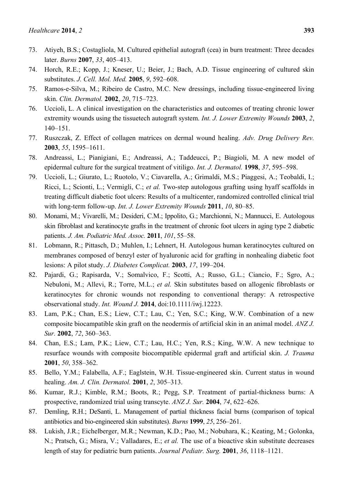- 73. Atiyeh, B.S.; Costagliola, M. Cultured epithelial autograft (cea) in burn treatment: Three decades later. *Burns* **2007**, *33*, 405–413.
- 74. Horch, R.E.; Kopp, J.; Kneser, U.; Beier, J.; Bach, A.D. Tissue engineering of cultured skin substitutes. *J. Cell. Mol. Med.* **2005**, *9*, 592–608.
- 75. Ramos-e-Silva, M.; Ribeiro de Castro, M.C. New dressings, including tissue-engineered living skin. *Clin. Dermatol.* **2002**, *20*, 715–723.
- 76. Uccioli, L. A clinical investigation on the characteristics and outcomes of treating chronic lower extremity wounds using the tissuetech autograft system. *Int. J. Lower Extremity Wounds* **2003**, *2*, 140–151.
- 77. Ruszczak, Z. Effect of collagen matrices on dermal wound healing. *Adv. Drug Delivery Rev.* **2003**, *55*, 1595–1611.
- 78. Andreassi, L.; Pianigiani, E.; Andreassi, A.; Taddeucci, P.; Biagioli, M. A new model of epidermal culture for the surgical treatment of vitiligo. *Int. J. Dermatol.* **1998**, *37*, 595–598.
- 79. Uccioli, L.; Giurato, L.; Ruotolo, V.; Ciavarella, A.; Grimaldi, M.S.; Piaggesi, A.; Teobaldi, I.; Ricci, L.; Scionti, L.; Vermigli, C.; *et al.* Two-step autologous grafting using hyaff scaffolds in treating difficult diabetic foot ulcers: Results of a multicenter, randomized controlled clinical trial with long-term follow-up. *Int. J. Lower Extremity Wounds* **2011**, *10*, 80–85.
- 80. Monami, M.; Vivarelli, M.; Desideri, C.M.; Ippolito, G.; Marchionni, N.; Mannucci, E. Autologous skin fibroblast and keratinocyte grafts in the treatment of chronic foot ulcers in aging type 2 diabetic patients. *J. Am. Podiatric Med. Assoc.* **2011**, *101*, 55–58.
- 81. Lobmann, R.; Pittasch, D.; Muhlen, I.; Lehnert, H. Autologous human keratinocytes cultured on membranes composed of benzyl ester of hyaluronic acid for grafting in nonhealing diabetic foot lesions: A pilot study. *J. Diabetes Complicat.* **2003**, *17*, 199–204.
- 82. Pajardi, G.; Rapisarda, V.; Somalvico, F.; Scotti, A.; Russo, G.L.; Ciancio, F.; Sgro, A.; Nebuloni, M.; Allevi, R.; Torre, M.L.; *et al.* Skin substitutes based on allogenic fibroblasts or keratinocytes for chronic wounds not responding to conventional therapy: A retrospective observational study. *Int. Wound J.* **2014**, doi:10.1111/iwj.12223.
- 83. Lam, P.K.; Chan, E.S.; Liew, C.T.; Lau, C.; Yen, S.C.; King, W.W. Combination of a new composite biocampatible skin graft on the neodermis of artificial skin in an animal model. *ANZ J. Sur.* **2002**, *72*, 360–363.
- 84. Chan, E.S.; Lam, P.K.; Liew, C.T.; Lau, H.C.; Yen, R.S.; King, W.W. A new technique to resurface wounds with composite biocompatible epidermal graft and artificial skin. *J. Trauma*  **2001**, *50*, 358–362.
- 85. Bello, Y.M.; Falabella, A.F.; Eaglstein, W.H. Tissue-engineered skin. Current status in wound healing. *Am. J. Clin. Dermatol.* **2001**, *2*, 305–313.
- 86. Kumar, R.J.; Kimble, R.M.; Boots, R.; Pegg, S.P. Treatment of partial-thickness burns: A prospective, randomized trial using transcyte. *ANZ J. Sur.* **2004**, *74*, 622–626.
- 87. Demling, R.H.; DeSanti, L. Management of partial thickness facial burns (comparison of topical antibiotics and bio-engineered skin substitutes). *Burns* **1999**, *25*, 256–261.
- 88. Lukish, J.R.; Eichelberger, M.R.; Newman, K.D.; Pao, M.; Nobuhara, K.; Keating, M.; Golonka, N.; Pratsch, G.; Misra, V.; Valladares, E.; *et al.* The use of a bioactive skin substitute decreases length of stay for pediatric burn patients. *Journal Pediatr. Surg.* **2001**, *36*, 1118–1121.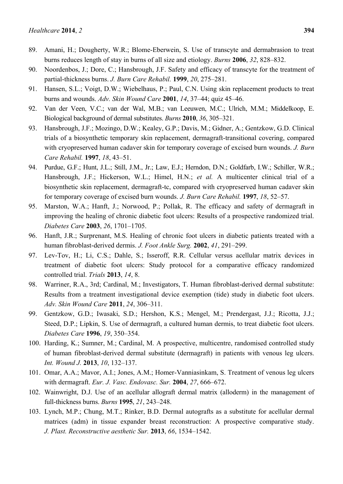- 90. Noordenbos, J.; Dore, C.; Hansbrough, J.F. Safety and efficacy of transcyte for the treatment of partial-thickness burns. *J. Burn Care Rehabil.* **1999**, *20*, 275–281.
- 91. Hansen, S.L.; Voigt, D.W.; Wiebelhaus, P.; Paul, C.N. Using skin replacement products to treat burns and wounds. *Adv. Skin Wound Care* **2001**, *14*, 37–44; quiz 45–46.
- 92. Van der Veen, V.C.; van der Wal, M.B.; van Leeuwen, M.C.; Ulrich, M.M.; Middelkoop, E. Biological background of dermal substitutes. *Burns* **2010**, *36*, 305–321.
- 93. Hansbrough, J.F.; Mozingo, D.W.; Kealey, G.P.; Davis, M.; Gidner, A.; Gentzkow, G.D. Clinical trials of a biosynthetic temporary skin replacement, dermagraft-transitional covering, compared with cryopreserved human cadaver skin for temporary coverage of excised burn wounds. *J. Burn Care Rehabil.* **1997**, *18*, 43–51.
- 94. Purdue, G.F.; Hunt, J.L.; Still, J.M., Jr.; Law, E.J.; Herndon, D.N.; Goldfarb, I.W.; Schiller, W.R.; Hansbrough, J.F.; Hickerson, W.L.; Himel, H.N.; *et al.* A multicenter clinical trial of a biosynthetic skin replacement, dermagraft-tc, compared with cryopreserved human cadaver skin for temporary coverage of excised burn wounds. *J. Burn Care Rehabil.* **1997**, *18*, 52–57.
- 95. Marston, W.A.; Hanft, J.; Norwood, P.; Pollak, R. The efficacy and safety of dermagraft in improving the healing of chronic diabetic foot ulcers: Results of a prospective randomized trial. *Diabetes Care* **2003**, *26*, 1701–1705.
- 96. Hanft, J.R.; Surprenant, M.S. Healing of chronic foot ulcers in diabetic patients treated with a human fibroblast-derived dermis. *J. Foot Ankle Surg.* **2002**, *41*, 291–299.
- 97. Lev-Tov, H.; Li, C.S.; Dahle, S.; Isseroff, R.R. Cellular versus acellular matrix devices in treatment of diabetic foot ulcers: Study protocol for a comparative efficacy randomized controlled trial. *Trials* **2013**, *14*, 8.
- 98. Warriner, R.A., 3rd; Cardinal, M.; Investigators, T. Human fibroblast-derived dermal substitute: Results from a treatment investigational device exemption (tide) study in diabetic foot ulcers. *Adv. Skin Wound Care* **2011**, *24*, 306–311.
- 99. Gentzkow, G.D.; Iwasaki, S.D.; Hershon, K.S.; Mengel, M.; Prendergast, J.J.; Ricotta, J.J.; Steed, D.P.; Lipkin, S. Use of dermagraft, a cultured human dermis, to treat diabetic foot ulcers. *Diabetes Care* **1996**, *19*, 350–354.
- 100. Harding, K.; Sumner, M.; Cardinal, M. A prospective, multicentre, randomised controlled study of human fibroblast-derived dermal substitute (dermagraft) in patients with venous leg ulcers. *Int. Wound J.* **2013**, *10*, 132–137.
- 101. Omar, A.A.; Mavor, A.I.; Jones, A.M.; Homer-Vanniasinkam, S. Treatment of venous leg ulcers with dermagraft. *Eur. J. Vasc. Endovasc. Sur.* **2004**, *27*, 666–672.
- 102. Wainwright, D.J. Use of an acellular allograft dermal matrix (alloderm) in the management of full-thickness burns. *Burns* **1995**, *21*, 243–248.
- 103. Lynch, M.P.; Chung, M.T.; Rinker, B.D. Dermal autografts as a substitute for acellular dermal matrices (adm) in tissue expander breast reconstruction: A prospective comparative study. *J. Plast. Reconstructive aesthetic Sur.* **2013**, *66*, 1534–1542.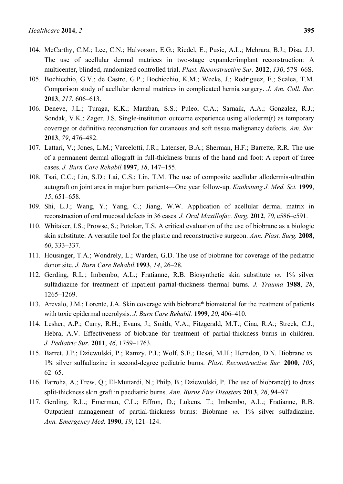- 104. McCarthy, C.M.; Lee, C.N.; Halvorson, E.G.; Riedel, E.; Pusic, A.L.; Mehrara, B.J.; Disa, J.J. The use of acellular dermal matrices in two-stage expander/implant reconstruction: A multicenter, blinded, randomized controlled trial. *Plast. Reconstructive Sur.* **2012**, *130*, 57S–66S.
- 105. Bochicchio, G.V.; de Castro, G.P.; Bochicchio, K.M.; Weeks, J.; Rodriguez, E.; Scalea, T.M. Comparison study of acellular dermal matrices in complicated hernia surgery. *J. Am. Coll. Sur.* **2013**, *217*, 606–613.
- 106. Deneve, J.L.; Turaga, K.K.; Marzban, S.S.; Puleo, C.A.; Sarnaik, A.A.; Gonzalez, R.J.; Sondak, V.K.; Zager, J.S. Single-institution outcome experience using alloderm(r) as temporary coverage or definitive reconstruction for cutaneous and soft tissue malignancy defects. *Am. Sur.* **2013**, *79*, 476–482.
- 107. Lattari, V.; Jones, L.M.; Varcelotti, J.R.; Latenser, B.A.; Sherman, H.F.; Barrette, R.R. The use of a permanent dermal allograft in full-thickness burns of the hand and foot: A report of three cases. *J. Burn Care Rehabil.***1997**, *18*, 147–155.
- 108. Tsai, C.C.; Lin, S.D.; Lai, C.S.; Lin, T.M. The use of composite acellular allodermis-ultrathin autograft on joint area in major burn patients—One year follow-up. *Kaohsiung J. Med. Sci.* **1999**, *15*, 651–658.
- 109. Shi, L.J.; Wang, Y.; Yang, C.; Jiang, W.W. Application of acellular dermal matrix in reconstruction of oral mucosal defects in 36 cases. *J. Oral Maxillofac. Surg.* **2012**, *70*, e586–e591.
- 110. Whitaker, I.S.; Prowse, S.; Potokar, T.S. A critical evaluation of the use of biobrane as a biologic skin substitute: A versatile tool for the plastic and reconstructive surgeon. *Ann. Plast. Surg.* **2008**, *60*, 333–337.
- 111. Housinger, T.A.; Wondrely, L.; Warden, G.D. The use of biobrane for coverage of the pediatric donor site. *J. Burn Care Rehabil.***1993**, *14*, 26–28.
- 112. Gerding, R.L.; Imbembo, A.L.; Fratianne, R.B. Biosynthetic skin substitute *vs.* 1% silver sulfadiazine for treatment of inpatient partial-thickness thermal burns. *J. Trauma* **1988**, *28*, 1265–1269.
- 113. Arevalo, J.M.; Lorente, J.A. Skin coverage with biobrane\* biomaterial for the treatment of patients with toxic epidermal necrolysis. *J. Burn Care Rehabil.* **1999**, *20*, 406–410.
- 114. Lesher, A.P.; Curry, R.H.; Evans, J.; Smith, V.A.; Fitzgerald, M.T.; Cina, R.A.; Streck, C.J.; Hebra, A.V. Effectiveness of biobrane for treatment of partial-thickness burns in children. *J. Pediatric Sur.* **2011**, *46*, 1759–1763.
- 115. Barret, J.P.; Dziewulski, P.; Ramzy, P.I.; Wolf, S.E.; Desai, M.H.; Herndon, D.N. Biobrane *vs.* 1% silver sulfadiazine in second-degree pediatric burns. *Plast. Reconstructive Sur.* **2000**, *105*, 62–65.
- 116. Farroha, A.; Frew, Q.; El-Muttardi, N.; Philp, B.; Dziewulski, P. The use of biobrane(r) to dress split-thickness skin graft in paediatric burns. *Ann. Burns Fire Disasters* **2013**, *26*, 94–97.
- 117. Gerding, R.L.; Emerman, C.L.; Effron, D.; Lukens, T.; Imbembo, A.L.; Fratianne, R.B. Outpatient management of partial-thickness burns: Biobrane *vs.* 1% silver sulfadiazine. *Ann. Emergency Med.* **1990**, *19*, 121–124.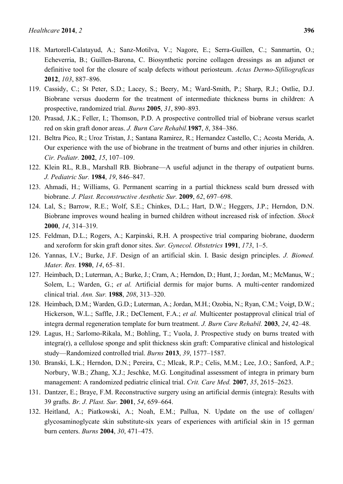- 118. Martorell-Calatayud, A.; Sanz-Motilva, V.; Nagore, E.; Serra-Guillen, C.; Sanmartin, O.; Echeverria, B.; Guillen-Barona, C. Biosynthetic porcine collagen dressings as an adjunct or definitive tool for the closure of scalp defects without periosteum. *Actas Dermo-Sifiliograficas*  **2012**, *103*, 887–896.
- 119. Cassidy, C.; St Peter, S.D.; Lacey, S.; Beery, M.; Ward-Smith, P.; Sharp, R.J.; Ostlie, D.J. Biobrane versus duoderm for the treatment of intermediate thickness burns in children: A prospective, randomized trial. *Burns* **2005**, *31*, 890–893.
- 120. Prasad, J.K.; Feller, I.; Thomson, P.D. A prospective controlled trial of biobrane versus scarlet red on skin graft donor areas. *J. Burn Care Rehabil.***1987**, *8*, 384–386.
- 121. Beltra Pico, R.; Uroz Tristan, J.; Santana Ramirez, R.; Hernandez Castello, C.; Acosta Merida, A. Our experience with the use of biobrane in the treatment of burns and other injuries in children. *Cir. Pediatr.* **2002**, *15*, 107–109.
- 122. Klein RL, R.B., Marshall RB. Biobrane—A useful adjunct in the therapy of outpatient burns. *J. Pediatric Sur.* **1984**, *19*, 846–847.
- 123. Ahmadi, H.; Williams, G. Permanent scarring in a partial thickness scald burn dressed with biobrane. *J. Plast. Reconstructive Aesthetic Sur.* **2009**, *62*, 697–698.
- 124. Lal, S.; Barrow, R.E.; Wolf, S.E.; Chinkes, D.L.; Hart, D.W.; Heggers, J.P.; Herndon, D.N. Biobrane improves wound healing in burned children without increased risk of infection. *Shock*  **2000**, *14*, 314–319.
- 125. Feldman, D.L.; Rogers, A.; Karpinski, R.H. A prospective trial comparing biobrane, duoderm and xeroform for skin graft donor sites. *Sur. Gynecol. Obstetrics* **1991**, *173*, 1–5.
- 126. Yannas, I.V.; Burke, J.F. Design of an artificial skin. I. Basic design principles. *J. Biomed. Mater. Res.* **1980**, *14*, 65–81.
- 127. Heimbach, D.; Luterman, A.; Burke, J.; Cram, A.; Herndon, D.; Hunt, J.; Jordan, M.; McManus, W.; Solem, L.; Warden, G.; *et al.* Artificial dermis for major burns. A multi-center randomized clinical trial. *Ann. Sur.* **1988**, *208*, 313–320.
- 128. Heimbach, D.M.; Warden, G.D.; Luterman, A.; Jordan, M.H.; Ozobia, N.; Ryan, C.M.; Voigt, D.W.; Hickerson, W.L.; Saffle, J.R.; DeClement, F.A.; *et al.* Multicenter postapproval clinical trial of integra dermal regeneration template for burn treatment. *J. Burn Care Rehabil.* **2003**, *24*, 42–48.
- 129. Lagus, H.; Sarlomo-Rikala, M.; Bohling, T.; Vuola, J. Prospective study on burns treated with integra(r), a cellulose sponge and split thickness skin graft: Comparative clinical and histological study—Randomized controlled trial. *Burns* **2013**, *39*, 1577–1587.
- 130. Branski, L.K.; Herndon, D.N.; Pereira, C.; Mlcak, R.P.; Celis, M.M.; Lee, J.O.; Sanford, A.P.; Norbury, W.B.; Zhang, X.J.; Jeschke, M.G. Longitudinal assessment of integra in primary burn management: A randomized pediatric clinical trial. *Crit. Care Med.* **2007**, *35*, 2615–2623.
- 131. Dantzer, E.; Braye, F.M. Reconstructive surgery using an artificial dermis (integra): Results with 39 grafts. *Br. J. Plast. Sur.* **2001**, *54*, 659–664.
- 132. Heitland, A.; Piatkowski, A.; Noah, E.M.; Pallua, N. Update on the use of collagen/ glycosaminoglycate skin substitute-six years of experiences with artificial skin in 15 german burn centers. *Burns* **2004**, *30*, 471–475.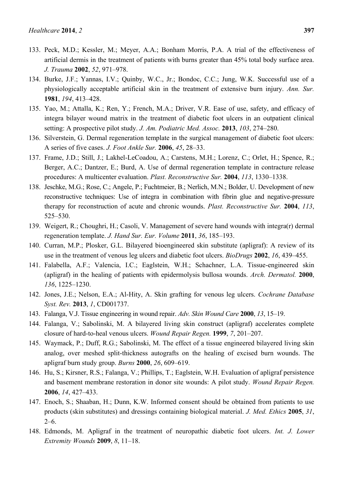- 133. Peck, M.D.; Kessler, M.; Meyer, A.A.; Bonham Morris, P.A. A trial of the effectiveness of artificial dermis in the treatment of patients with burns greater than 45% total body surface area. *J. Trauma* **2002**, *52*, 971–978.
- 134. Burke, J.F.; Yannas, I.V.; Quinby, W.C., Jr.; Bondoc, C.C.; Jung, W.K. Successful use of a physiologically acceptable artificial skin in the treatment of extensive burn injury. *Ann. Sur.* **1981**, *194*, 413–428.
- 135. Yao, M.; Attalla, K.; Ren, Y.; French, M.A.; Driver, V.R. Ease of use, safety, and efficacy of integra bilayer wound matrix in the treatment of diabetic foot ulcers in an outpatient clinical setting: A prospective pilot study. *J. Am. Podiatric Med. Assoc.* **2013**, *103*, 274–280.
- 136. Silverstein, G. Dermal regeneration template in the surgical management of diabetic foot ulcers: A series of five cases. *J. Foot Ankle Sur.* **2006**, *45*, 28–33.
- 137. Frame, J.D.; Still, J.; Lakhel-LeCoadou, A.; Carstens, M.H.; Lorenz, C.; Orlet, H.; Spence, R.; Berger, A.C.; Dantzer, E.; Burd, A. Use of dermal regeneration template in contracture release procedures: A multicenter evaluation. *Plast. Reconstructive Sur.* **2004**, *113*, 1330–1338.
- 138. Jeschke, M.G.; Rose, C.; Angele, P.; Fuchtmeier, B.; Nerlich, M.N.; Bolder, U. Development of new reconstructive techniques: Use of integra in combination with fibrin glue and negative-pressure therapy for reconstruction of acute and chronic wounds. *Plast. Reconstructive Sur.* **2004**, *113*, 525–530.
- 139. Weigert, R.; Choughri, H.; Casoli, V. Management of severe hand wounds with integra(r) dermal regeneration template. *J. Hand Sur. Eur. Volume* **2011**, *36*, 185–193.
- 140. Curran, M.P.; Plosker, G.L. Bilayered bioengineered skin substitute (apligraf): A review of its use in the treatment of venous leg ulcers and diabetic foot ulcers. *BioDrugs* **2002**, *16*, 439–455.
- 141. Falabella, A.F.; Valencia, I.C.; Eaglstein, W.H.; Schachner, L.A. Tissue-engineered skin (apligraf) in the healing of patients with epidermolysis bullosa wounds. *Arch. Dermatol.* **2000**, *136*, 1225–1230.
- 142. Jones, J.E.; Nelson, E.A.; Al-Hity, A. Skin grafting for venous leg ulcers. *Cochrane Database Syst. Rev.* **2013**, *1*, CD001737.
- 143. Falanga, V.J. Tissue engineering in wound repair. *Adv. Skin Wound Care* **2000**, *13*, 15–19.
- 144. Falanga, V.; Sabolinski, M. A bilayered living skin construct (apligraf) accelerates complete closure of hard-to-heal venous ulcers. *Wound Repair Regen.* **1999**, *7*, 201–207.
- 145. Waymack, P.; Duff, R.G.; Sabolinski, M. The effect of a tissue engineered bilayered living skin analog, over meshed split-thickness autografts on the healing of excised burn wounds. The apligraf burn study group. *Burns* **2000**, *26*, 609–619.
- 146. Hu, S.; Kirsner, R.S.; Falanga, V.; Phillips, T.; Eaglstein, W.H. Evaluation of apligraf persistence and basement membrane restoration in donor site wounds: A pilot study. *Wound Repair Regen.* **2006**, *14*, 427–433.
- 147. Enoch, S.; Shaaban, H.; Dunn, K.W. Informed consent should be obtained from patients to use products (skin substitutes) and dressings containing biological material. *J. Med. Ethics* **2005**, *31*,  $2-6$
- 148. Edmonds, M. Apligraf in the treatment of neuropathic diabetic foot ulcers. *Int. J. Lower Extremity Wounds* **2009**, *8*, 11–18.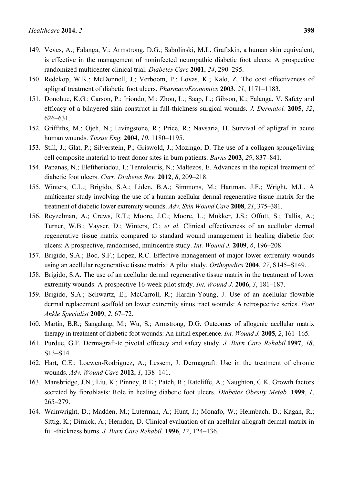- 149. Veves, A.; Falanga, V.; Armstrong, D.G.; Sabolinski, M.L. Graftskin, a human skin equivalent, is effective in the management of noninfected neuropathic diabetic foot ulcers: A prospective randomized multicenter clinical trial. *Diabetes Care* **2001**, *24*, 290–295.
- 150. Redekop, W.K.; McDonnell, J.; Verboom, P.; Lovas, K.; Kalo, Z. The cost effectiveness of apligraf treatment of diabetic foot ulcers. *PharmacoEconomics* **2003**, *21*, 1171–1183.
- 151. Donohue, K.G.; Carson, P.; Iriondo, M.; Zhou, L.; Saap, L.; Gibson, K.; Falanga, V. Safety and efficacy of a bilayered skin construct in full-thickness surgical wounds. *J. Dermatol.* **2005**, *32*, 626–631.
- 152. Griffiths, M.; Ojeh, N.; Livingstone, R.; Price, R.; Navsaria, H. Survival of apligraf in acute human wounds. *Tissue Eng.* **2004**, *10*, 1180–1195.
- 153. Still, J.; Glat, P.; Silverstein, P.; Griswold, J.; Mozingo, D. The use of a collagen sponge/living cell composite material to treat donor sites in burn patients. *Burns* **2003**, *29*, 837–841.
- 154. Papanas, N.; Eleftheriadou, I.; Tentolouris, N.; Maltezos, E. Advances in the topical treatment of diabetic foot ulcers. *Curr. Diabetes Rev.* **2012**, *8*, 209–218.
- 155. Winters, C.L.; Brigido, S.A.; Liden, B.A.; Simmons, M.; Hartman, J.F.; Wright, M.L. A multicenter study involving the use of a human acellular dermal regenerative tissue matrix for the treatment of diabetic lower extremity wounds. *Adv. Skin Wound Care* **2008**, *21*, 375–381.
- 156. Reyzelman, A.; Crews, R.T.; Moore, J.C.; Moore, L.; Mukker, J.S.; Offutt, S.; Tallis, A.; Turner, W.B.; Vayser, D.; Winters, C.; *et al.* Clinical effectiveness of an acellular dermal regenerative tissue matrix compared to standard wound management in healing diabetic foot ulcers: A prospective, randomised, multicentre study. *Int. Wound J.* **2009**, *6*, 196–208.
- 157. Brigido, S.A.; Boc, S.F.; Lopez, R.C. Effective management of major lower extremity wounds using an acellular regenerative tissue matrix: A pilot study. *Orthopedics* **2004**, *27*, S145–S149.
- 158. Brigido, S.A. The use of an acellular dermal regenerative tissue matrix in the treatment of lower extremity wounds: A prospective 16-week pilot study. *Int. Wound J.* **2006**, *3*, 181–187.
- 159. Brigido, S.A.; Schwartz, E.; McCarroll, R.; Hardin-Young, J. Use of an acellular flowable dermal replacement scaffold on lower extremity sinus tract wounds: A retrospective series. *Foot Ankle Specialist* **2009**, *2*, 67–72.
- 160. Martin, B.R.; Sangalang, M.; Wu, S.; Armstrong, D.G. Outcomes of allogenic acellular matrix therapy in treatment of diabetic foot wounds: An initial experience. *Int. Wound J.* **2005**, *2*, 161–165.
- 161. Purdue, G.F. Dermagraft-tc pivotal efficacy and safety study. *J. Burn Care Rehabil.***1997**, *18*, S13–S14.
- 162. Hart, C.E.; Loewen-Rodriguez, A.; Lessem, J. Dermagraft: Use in the treatment of chronic wounds. *Adv. Wound Care* **2012**, *1*, 138–141.
- 163. Mansbridge, J.N.; Liu, K.; Pinney, R.E.; Patch, R.; Ratcliffe, A.; Naughton, G.K. Growth factors secreted by fibroblasts: Role in healing diabetic foot ulcers. *Diabetes Obesity Metab.* **1999**, *1*, 265–279.
- 164. Wainwright, D.; Madden, M.; Luterman, A.; Hunt, J.; Monafo, W.; Heimbach, D.; Kagan, R.; Sittig, K.; Dimick, A.; Herndon, D. Clinical evaluation of an acellular allograft dermal matrix in full-thickness burns. *J. Burn Care Rehabil.* **1996**, *17*, 124–136.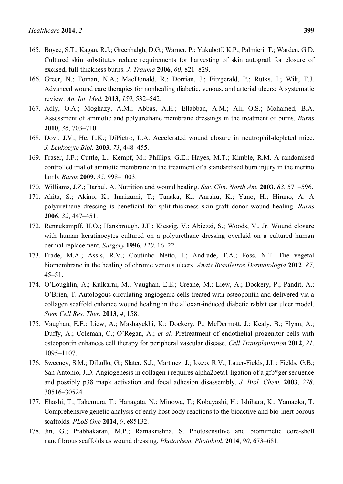- 166. Greer, N.; Foman, N.A.; MacDonald, R.; Dorrian, J.; Fitzgerald, P.; Rutks, I.; Wilt, T.J. Advanced wound care therapies for nonhealing diabetic, venous, and arterial ulcers: A systematic review. *An. Int. Med.* **2013**, *159*, 532–542.
- 167. Adly, O.A.; Moghazy, A.M.; Abbas, A.H.; Ellabban, A.M.; Ali, O.S.; Mohamed, B.A. Assessment of amniotic and polyurethane membrane dressings in the treatment of burns. *Burns* **2010**, *36*, 703–710.
- 168. Dovi, J.V.; He, L.K.; DiPietro, L.A. Accelerated wound closure in neutrophil-depleted mice. *J. Leukocyte Biol.* **2003**, *73*, 448–455.
- 169. Fraser, J.F.; Cuttle, L.; Kempf, M.; Phillips, G.E.; Hayes, M.T.; Kimble, R.M. A randomised controlled trial of amniotic membrane in the treatment of a standardised burn injury in the merino lamb. *Burns* **2009**, *35*, 998–1003.
- 170. Williams, J.Z.; Barbul, A. Nutrition and wound healing. *Sur. Clin. North Am.* **2003**, *83*, 571–596.
- 171. Akita, S.; Akino, K.; Imaizumi, T.; Tanaka, K.; Anraku, K.; Yano, H.; Hirano, A. A polyurethane dressing is beneficial for split-thickness skin-graft donor wound healing. *Burns* **2006**, *32*, 447–451.
- 172. Rennekampff, H.O.; Hansbrough, J.F.; Kiessig, V.; Abiezzi, S.; Woods, V., Jr. Wound closure with human keratinocytes cultured on a polyurethane dressing overlaid on a cultured human dermal replacement. *Surgery* **1996**, *120*, 16–22.
- 173. Frade, M.A.; Assis, R.V.; Coutinho Netto, J.; Andrade, T.A.; Foss, N.T. The vegetal biomembrane in the healing of chronic venous ulcers. *Anais Brasileiros Dermatologia* **2012**, *87*, 45–51.
- 174. O'Loughlin, A.; Kulkarni, M.; Vaughan, E.E.; Creane, M.; Liew, A.; Dockery, P.; Pandit, A.; O'Brien, T. Autologous circulating angiogenic cells treated with osteopontin and delivered via a collagen scaffold enhance wound healing in the alloxan-induced diabetic rabbit ear ulcer model. *Stem Cell Res. Ther.* **2013**, *4*, 158.
- 175. Vaughan, E.E.; Liew, A.; Mashayekhi, K.; Dockery, P.; McDermott, J.; Kealy, B.; Flynn, A.; Duffy, A.; Coleman, C.; O'Regan, A.; *et al.* Pretreatment of endothelial progenitor cells with osteopontin enhances cell therapy for peripheral vascular disease. *Cell Transplantation* **2012**, *21*, 1095–1107.
- 176. Sweeney, S.M.; DiLullo, G.; Slater, S.J.; Martinez, J.; Iozzo, R.V.; Lauer-Fields, J.L.; Fields, G.B.; San Antonio, J.D. Angiogenesis in collagen i requires alpha2beta1 ligation of a gfp\*ger sequence and possibly p38 mapk activation and focal adhesion disassembly. *J. Biol. Chem.* **2003**, *278*, 30516–30524.
- 177. Ehashi, T.; Takemura, T.; Hanagata, N.; Minowa, T.; Kobayashi, H.; Ishihara, K.; Yamaoka, T. Comprehensive genetic analysis of early host body reactions to the bioactive and bio-inert porous scaffolds. *PLoS One* **2014**, *9*, e85132.
- 178. Jin, G.; Prabhakaran, M.P.; Ramakrishna, S. Photosensitive and biomimetic core-shell nanofibrous scaffolds as wound dressing. *Photochem. Photobiol.* **2014**, *90*, 673–681.